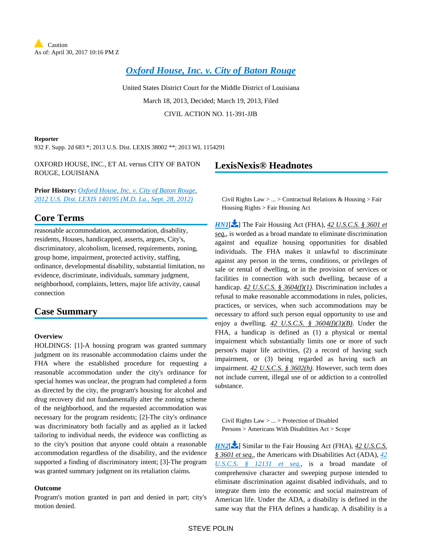*[Oxford House, Inc. v. City of Baton Rouge](https://advance.lexis.com/api/document?collection=cases&id=urn:contentItem:580P-BFP1-F04D-C24V-00000-00&context=)*

United States District Court for the Middle District of Louisiana March 18, 2013, Decided; March 19, 2013, Filed CIVIL ACTION NO. 11-391-JJB

#### **Reporter**

932 F. Supp. 2d 683 \*; 2013 U.S. Dist. LEXIS 38002 \*\*; 2013 WL 1154291

OXFORD HOUSE, INC., ET AL versus CITY OF BATON ROUGE, LOUISIANA

**Prior History:** *[Oxford House, Inc. v. City of Baton Rouge,](https://advance.lexis.com/api/document?collection=cases&id=urn:contentItem:56P4-NFK1-F04D-C08V-00000-00&context=)  [2012 U.S. Dist. LEXIS 140195 \(M.D. La., Sept. 28, 2012\)](https://advance.lexis.com/api/document?collection=cases&id=urn:contentItem:56P4-NFK1-F04D-C08V-00000-00&context=)*

# **Core Terms**

reasonable accommodation, accommodation, disability, residents, Houses, handicapped, asserts, argues, City's, discriminatory, alcoholism, licensed, requirements, zoning, group home, impairment, protected activity, staffing, ordinance, developmental disability, substantial limitation, no evidence, discriminate, individuals, summary judgment, neighborhood, complaints, letters, major life activity, causal connection

## **Case Summary**

#### **Overview**

HOLDINGS: [1]-A housing program was granted summary judgment on its reasonable accommodation claims under the FHA where the established procedure for requesting a reasonable accommodation under the city's ordinance for special homes was unclear, the program had completed a form as directed by the city, the program's housing for alcohol and drug recovery did not fundamentally alter the zoning scheme of the neighborhood, and the requested accommodation was necessary for the program residents; [2]-The city's ordinance was discriminatory both facially and as applied as it lacked tailoring to individual needs, the evidence was conflicting as to the city's position that anyone could obtain a reasonable accommodation regardless of the disability, and the evidence supported a finding of discriminatory intent; [3]-The program was granted summary judgment on its retaliation claims.

### **Outcome**

Program's motion granted in part and denied in part; city's motion denied.

# <span id="page-0-0"></span>**LexisNexis® Headnotes**

Civil Rights Law  $> ... >$  Contractual Relations & Housing  $>$  Fair Housing Rights > Fair Housing Act

*[HN1](https://advance.lexis.com/api/document?collection=cases&id=urn:contentItem:580P-BFP1-F04D-C24V-00000-00&context=&link=LNHNREFclscc1)*<sup>[\[](#page-6-0)2]</sup> The Fair Housing Act (FHA), 42 *U.S.C.S.* § 3601 *et seq.*, is worded as a broad mandate to eliminate discrimination against and equalize housing opportunities for disabled individuals. The FHA makes it unlawful to discriminate against any person in the terms, conditions, or privileges of sale or rental of dwelling, or in the provision of services or facilities in connection with such dwelling, because of a handicap. *42 U.S.C.S. § 3604(f)(1)*. Discrimination includes a refusal to make reasonable accommodations in rules, policies, practices, or services, when such accommodations may be necessary to afford such person equal opportunity to use and enjoy a dwelling. *42 U.S.C.S. § 3604(f)(3)(B)*. Under the FHA, a handicap is defined as (1) a physical or mental impairment which substantially limits one or more of such person's major life activities, (2) a record of having such impairment, or (3) being regarded as having such an impairment. *42 U.S.C.S. § 3602(h)*. However, such term does not include current, illegal use of or addiction to a controlled substance.

<span id="page-0-1"></span>Civil Rights Law > ... > Protection of Disabled Persons > Americans With Disabilities Act > Scope

*[HN2](https://advance.lexis.com/api/document?collection=cases&id=urn:contentItem:580P-BFP1-F04D-C24V-00000-00&context=&link=LNHNREFclscc2)*<sup>[\[](#page-6-1)22</sup>] Similar to the Fair Housing Act (FHA), 42 U.S.C.S. *§ 3601 et seq.*, the Americans with Disabilities Act (ADA), *[42](https://advance.lexis.com/api/document?collection=statutes-legislation&id=urn:contentItem:4YF7-GVG1-NRF4-41T6-00000-00&context=)  [U.S.C.S. § 12131 et seq.](https://advance.lexis.com/api/document?collection=statutes-legislation&id=urn:contentItem:4YF7-GVG1-NRF4-41T6-00000-00&context=)*, is a broad mandate of comprehensive character and sweeping purpose intended to eliminate discrimination against disabled individuals, and to integrate them into the economic and social mainstream of American life. Under the ADA, a disability is defined in the same way that the FHA defines a handicap. A disability is a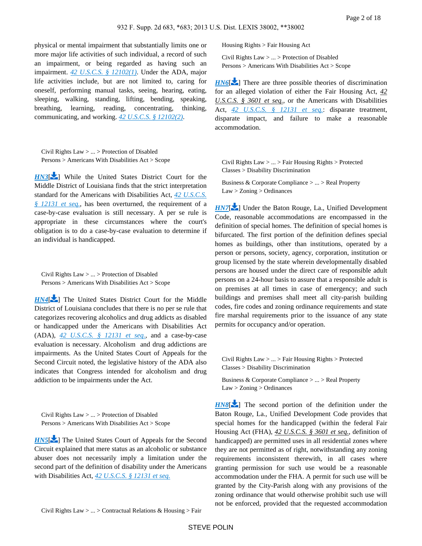physical or mental impairment that substantially limits one or more major life activities of such individual, a record of such an impairment, or being regarded as having such an impairment. *[42 U.S.C.S. § 12102\(1\)](https://advance.lexis.com/api/document?collection=statutes-legislation&id=urn:contentItem:4YF7-GSM1-NRF4-4485-00000-00&context=)*. Under the ADA, major life activities include, but are not limited to, caring for oneself, performing manual tasks, seeing, hearing, eating, sleeping, walking, standing, lifting, bending, speaking, breathing, learning, reading, concentrating, thinking, communicating, and working. *[42 U.S.C.S. § 12102\(2\)](https://advance.lexis.com/api/document?collection=statutes-legislation&id=urn:contentItem:4YF7-GSM1-NRF4-4485-00000-00&context=)*.

<span id="page-1-0"></span>Civil Rights Law > ... > Protection of Disabled Persons > Americans With Disabilities Act > Scope

*[HN3](https://advance.lexis.com/api/document?collection=cases&id=urn:contentItem:580P-BFP1-F04D-C24V-00000-00&context=&link=LNHNREFclscc3)*<sup>[\[](#page-6-2)22</sup>] While the United States District Court for the Middle District of Louisiana finds that the strict interpretation standard for the Americans with Disabilities Act, *[42 U.S.C.S.](https://advance.lexis.com/api/document?collection=statutes-legislation&id=urn:contentItem:4YF7-GVG1-NRF4-41T6-00000-00&context=)  [§ 12131 et seq.](https://advance.lexis.com/api/document?collection=statutes-legislation&id=urn:contentItem:4YF7-GVG1-NRF4-41T6-00000-00&context=)*, has been overturned, the requirement of a case-by-case evaluation is still necessary. A per se rule is appropriate in these circumstances where the court's obligation is to do a case-by-case evaluation to determine if an individual is handicapped.

<span id="page-1-1"></span>Civil Rights Law > ... > Protection of Disabled Persons > Americans With Disabilities Act > Scope

*[HN4](https://advance.lexis.com/api/document?collection=cases&id=urn:contentItem:580P-BFP1-F04D-C24V-00000-00&context=&link=LNHNREFclscc4)*<sup>[\[](#page-7-0) $\angle$ </sup>] The United States District Court for the Middle District of Louisiana concludes that there is no per se rule that categorizes recovering alcoholics and drug addicts as disabled or handicapped under the Americans with Disabilities Act (ADA), *[42 U.S.C.S. § 12131 et seq.](https://advance.lexis.com/api/document?collection=statutes-legislation&id=urn:contentItem:4YF7-GVG1-NRF4-41T6-00000-00&context=)*, and a case-by-case evaluation is necessary. Alcoholism and drug addictions are impairments. As the United States Court of Appeals for the Second Circuit noted, the legislative history of the ADA also indicates that Congress intended for alcoholism and drug addiction to be impairments under the Act.

<span id="page-1-2"></span>Civil Rights Law > ... > Protection of Disabled Persons > Americans With Disabilities Act > Scope

<span id="page-1-3"></span>**[HN5](https://advance.lexis.com/api/document?collection=cases&id=urn:contentItem:580P-BFP1-F04D-C24V-00000-00&context=&link=LNHNREFclscc5)<sup>[\[](#page-7-1)22</sup>]** The United States Court of Appeals for the Second Circuit explained that mere status as an alcoholic or substance abuser does not necessarily imply a limitation under the second part of the definition of disability under the Americans with Disabilities Act, *[42 U.S.C.S. § 12131 et seq.](https://advance.lexis.com/api/document?collection=statutes-legislation&id=urn:contentItem:4YF7-GVG1-NRF4-41T6-00000-00&context=)*

Housing Rights > Fair Housing Act

Civil Rights Law > ... > Protection of Disabled Persons > Americans With Disabilities Act > Scope

*[HN6](https://advance.lexis.com/api/document?collection=cases&id=urn:contentItem:580P-BFP1-F04D-C24V-00000-00&context=&link=LNHNREFclscc6)*[\[](#page-7-2) $\blacktriangleright$ ] There are three possible theories of discrimination for an alleged violation of either the Fair Housing Act, *42 U.S.C.S. § 3601 et seq.*, or the Americans with Disabilities Act, *[42 U.S.C.S. § 12131 et seq.](https://advance.lexis.com/api/document?collection=statutes-legislation&id=urn:contentItem:4YF7-GVG1-NRF4-41T6-00000-00&context=)*: disparate treatment, disparate impact, and failure to make a reasonable accommodation.

<span id="page-1-4"></span>Civil Rights Law > ... > Fair Housing Rights > Protected Classes > Disability Discrimination

Business & Corporate Compliance > ... > Real Property Law > Zoning > Ordinances

*[HN7](https://advance.lexis.com/api/document?collection=cases&id=urn:contentItem:580P-BFP1-F04D-C24V-00000-00&context=&link=LNHNREFclscc7)*[\[](#page-7-3) $\blacktriangleright$ ] Under the Baton Rouge, La., Unified Development Code, reasonable accommodations are encompassed in the definition of special homes. The definition of special homes is bifurcated. The first portion of the definition defines special homes as buildings, other than institutions, operated by a person or persons, society, agency, corporation, institution or group licensed by the state wherein developmentally disabled persons are housed under the direct care of responsible adult persons on a 24-hour basis to assure that a responsible adult is on premises at all times in case of emergency; and such buildings and premises shall meet all city-parish building codes, fire codes and zoning ordinance requirements and state fire marshal requirements prior to the issuance of any state permits for occupancy and/or operation.

<span id="page-1-5"></span>Civil Rights Law > ... > Fair Housing Rights > Protected Classes > Disability Discrimination

Business & Corporate Compliance > ... > Real Property Law > Zoning > Ordinances

**[HN8](https://advance.lexis.com/api/document?collection=cases&id=urn:contentItem:580P-BFP1-F04D-C24V-00000-00&context=&link=LNHNREFclscc8)[\[](#page-7-4)** $\blacktriangleright$ ] The second portion of the definition under the Baton Rouge, La., Unified Development Code provides that special homes for the handicapped (within the federal Fair Housing Act (FHA), *42 U.S.C.S. § 3601 et seq.*, definition of handicapped) are permitted uses in all residential zones where they are not permitted as of right, notwithstanding any zoning requirements inconsistent therewith, in all cases where granting permission for such use would be a reasonable accommodation under the FHA. A permit for such use will be granted by the City-Parish along with any provisions of the zoning ordinance that would otherwise prohibit such use will not be enforced, provided that the requested accommodation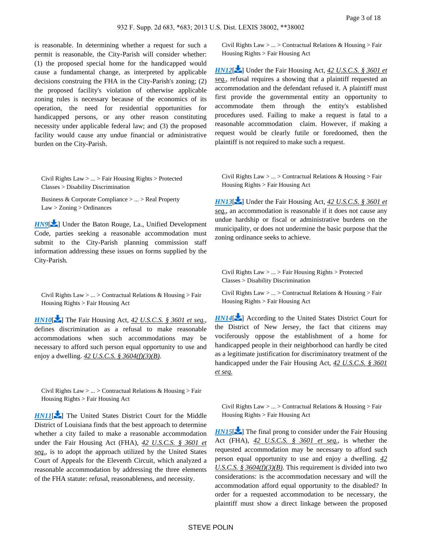is reasonable. In determining whether a request for such a permit is reasonable, the City-Parish will consider whether: (1) the proposed special home for the handicapped would cause a fundamental change, as interpreted by applicable decisions construing the FHA in the City-Parish's zoning; (2) the proposed facility's violation of otherwise applicable zoning rules is necessary because of the economics of its operation, the need for residential opportunities for handicapped persons, or any other reason constituting necessity under applicable federal law; and (3) the proposed facility would cause any undue financial or administrative burden on the City-Parish.

<span id="page-2-0"></span>Civil Rights Law > ... > Fair Housing Rights > Protected Classes > Disability Discrimination

Business & Corporate Compliance > ... > Real Property Law > Zoning > Ordinances

*[HN9](https://advance.lexis.com/api/document?collection=cases&id=urn:contentItem:580P-BFP1-F04D-C24V-00000-00&context=&link=LNHNREFclscc9)*<sup>[\[](#page-8-0)22</sup>] Under the Baton Rouge, La., Unified Development Code, parties seeking a reasonable accommodation must submit to the City-Parish planning commission staff information addressing these issues on forms supplied by the City-Parish.

Civil Rights Law > ... > Contractual Relations & Housing > Fair Housing Rights > Fair Housing Act

*[HN10](https://advance.lexis.com/api/document?collection=cases&id=urn:contentItem:580P-BFP1-F04D-C24V-00000-00&context=&link=LNHNREFclscc10)*[\[](#page-8-1) $\blacktriangleright$ ] The Fair Housing Act, 42 *U.S.C.S.* § 3601 et seq., defines discrimination as a refusal to make reasonable accommodations when such accommodations may be necessary to afford such person equal opportunity to use and enjoy a dwelling. *42 U.S.C.S. § 3604(f)(3)(B)*.

Civil Rights Law > ... > Contractual Relations & Housing > Fair Housing Rights > Fair Housing Act

<span id="page-2-1"></span>*[HN11](https://advance.lexis.com/api/document?collection=cases&id=urn:contentItem:580P-BFP1-F04D-C24V-00000-00&context=&link=LNHNREFclscc11)*[\[](#page-8-2) $\blacktriangleright$ ] The United States District Court for the Middle District of Louisiana finds that the best approach to determine whether a city failed to make a reasonable accommodation under the Fair Housing Act (FHA), *42 U.S.C.S. § 3601 et seq.*, is to adopt the approach utilized by the United States Court of Appeals for the Eleventh Circuit, which analyzed a reasonable accommodation by addressing the three elements of the FHA statute: refusal, reasonableness, and necessity.

Civil Rights Law > ... > Contractual Relations & Housing > Fair Housing Rights > Fair Housing Act

*[HN12](https://advance.lexis.com/api/document?collection=cases&id=urn:contentItem:580P-BFP1-F04D-C24V-00000-00&context=&link=LNHNREFclscc12)*<sup>[\[](#page-8-3)2]</sup> Under the Fair Housing Act, 42 *U.S.C.S.* § 3601 et *seq.*, refusal requires a showing that a plaintiff requested an accommodation and the defendant refused it. A plaintiff must first provide the governmental entity an opportunity to accommodate them through the entity's established procedures used. Failing to make a request is fatal to a reasonable accommodation claim. However, if making a request would be clearly futile or foredoomed, then the plaintiff is not required to make such a request.

<span id="page-2-2"></span>Civil Rights Law  $> ... >$  Contractual Relations & Housing  $>$  Fair Housing Rights > Fair Housing Act

*[HN13](https://advance.lexis.com/api/document?collection=cases&id=urn:contentItem:580P-BFP1-F04D-C24V-00000-00&context=&link=LNHNREFclscc13)*<sup>[\[](#page-9-0)2]</sup> Under the Fair Housing Act, 42 *U.S.C.S.* § 3601 *et seq.*, an accommodation is reasonable if it does not cause any undue hardship or fiscal or administrative burdens on the municipality, or does not undermine the basic purpose that the zoning ordinance seeks to achieve.

<span id="page-2-4"></span>Civil Rights Law > ... > Fair Housing Rights > Protected Classes > Disability Discrimination

Civil Rights Law  $> ... >$  Contractual Relations & Housing  $>$  Fair Housing Rights > Fair Housing Act

*[HN14](https://advance.lexis.com/api/document?collection=cases&id=urn:contentItem:580P-BFP1-F04D-C24V-00000-00&context=&link=LNHNREFclscc14)*<sup>[\[](#page-10-0)2]</sup> According to the United States District Court for the District of New Jersey, the fact that citizens may vociferously oppose the establishment of a home for handicapped people in their neighborhood can hardly be cited as a legitimate justification for discriminatory treatment of the handicapped under the Fair Housing Act, *42 U.S.C.S. § 3601 et seq.*

<span id="page-2-3"></span>Civil Rights Law  $> ... >$  Contractual Relations & Housing  $>$  Fair Housing Rights > Fair Housing Act

*[HN15](https://advance.lexis.com/api/document?collection=cases&id=urn:contentItem:580P-BFP1-F04D-C24V-00000-00&context=&link=LNHNREFclscc15)*<sup> $\blacktriangleright$ </sup>] The final prong to consider under the Fair Housing Act (FHA), *42 U.S.C.S. § 3601 et seq.*, is whether the requested accommodation may be necessary to afford such person equal opportunity to use and enjoy a dwelling. *42 U.S.C.S. § 3604(f)(3)(B)*. This requirement is divided into two considerations: is the accommodation necessary and will the accommodation afford equal opportunity to the disabled? In order for a requested accommodation to be necessary, the plaintiff must show a direct linkage between the proposed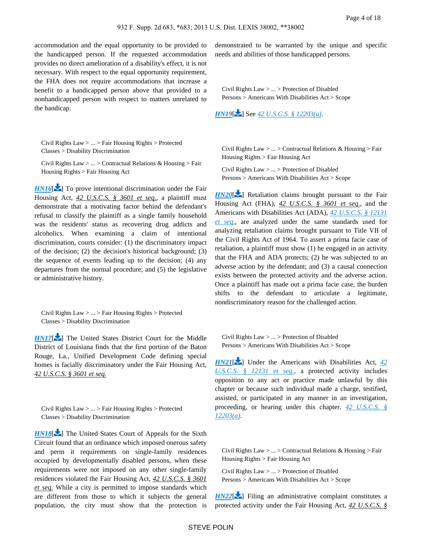accommodation and the equal opportunity to be provided to the handicapped person. If the requested accommodation provides no direct amelioration of a disability's effect, it is not necessary. With respect to the equal opportunity requirement, the FHA does not require accommodations that increase a benefit to a handicapped person above that provided to a nonhandicapped person with respect to matters unrelated to the handicap.

Civil Rights Law > ... > Fair Housing Rights > Protected Classes > Disability Discrimination

Civil Rights Law > ... > Contractual Relations & Housing > Fair Housing Rights > Fair Housing Act

*[HN16](https://advance.lexis.com/api/document?collection=cases&id=urn:contentItem:580P-BFP1-F04D-C24V-00000-00&context=&link=LNHNREFclscc16)*[\[](#page-11-0) $\blacktriangleright$ ] To prove intentional discrimination under the Fair Housing Act, *42 U.S.C.S. § 3601 et seq.*, a plaintiff must demonstrate that a motivating factor behind the defendant's refusal to classify the plaintiff as a single family household was the residents' status as recovering drug addicts and alcoholics. When examining a claim of intentional discrimination, courts consider: (1) the discriminatory impact of the decision; (2) the decision's historical background; (3) the sequence of events leading up to the decision; (4) any departures from the normal procedure; and (5) the legislative or administrative history.

<span id="page-3-0"></span>Civil Rights Law > ... > Fair Housing Rights > Protected Classes > Disability Discrimination

*[HN17](https://advance.lexis.com/api/document?collection=cases&id=urn:contentItem:580P-BFP1-F04D-C24V-00000-00&context=&link=LNHNREFclscc17)*<sup>2</sup> The United States District Court for the Middle District of Louisiana finds that the first portion of the Baton Rouge, La., Unified Development Code defining special homes is facially discriminatory under the Fair Housing Act, *42 U.S.C.S. § 3601 et seq.*

Civil Rights Law > ... > Fair Housing Rights > Protected Classes > Disability Discrimination

*[HN18](https://advance.lexis.com/api/document?collection=cases&id=urn:contentItem:580P-BFP1-F04D-C24V-00000-00&context=&link=LNHNREFclscc18)*<sup>2</sup> ] The United States Court of Appeals for the Sixth Circuit found that an ordinance which imposed onerous safety and perm it requirements on single-family residences occupied by developmentally disabled persons, when these requirements were not imposed on any other single-family residences violated the Fair Housing Act, *42 U.S.C.S. § 3601 et seq.* While a city is permitted to impose standards which are different from those to which it subjects the general population, the city must show that the protection is demonstrated to be warranted by the unique and specific needs and abilities of those handicapped persons.

Civil Rights Law > ... > Protection of Disabled Persons > Americans With Disabilities Act > Scope

<span id="page-3-1"></span>*[HN19](https://advance.lexis.com/api/document?collection=cases&id=urn:contentItem:580P-BFP1-F04D-C24V-00000-00&context=&link=LNHNREFclscc19)*[\[](#page-14-0) ] See *[42 U.S.C.S. § 12203\(a\)](https://advance.lexis.com/api/document?collection=statutes-legislation&id=urn:contentItem:4YF7-GWG1-NRF4-412T-00000-00&context=)*.

Civil Rights Law  $> ... >$  Contractual Relations & Housing  $>$  Fair Housing Rights > Fair Housing Act

Civil Rights Law > ... > Protection of Disabled Persons > Americans With Disabilities Act > Scope

*[HN20](https://advance.lexis.com/api/document?collection=cases&id=urn:contentItem:580P-BFP1-F04D-C24V-00000-00&context=&link=LNHNREFclscc20)*<sup>[\[](#page-14-1)2]</sup> Retaliation claims brought pursuant to the Fair Housing Act (FHA), *42 U.S.C.S. § 3601 et seq.*, and the Americans with Disabilities Act (ADA), *[42 U.S.C.S. § 12131](https://advance.lexis.com/api/document?collection=statutes-legislation&id=urn:contentItem:4YF7-GVG1-NRF4-41T6-00000-00&context=)  [et seq.](https://advance.lexis.com/api/document?collection=statutes-legislation&id=urn:contentItem:4YF7-GVG1-NRF4-41T6-00000-00&context=)*, are analyzed under the same standards used for analyzing retaliation claims brought pursuant to Title VII of the Civil Rights Act of 1964. To assert a prima facie case of retaliation, a plaintiff must show (1) he engaged in an activity that the FHA and ADA protects; (2) he was subjected to an adverse action by the defendant; and (3) a causal connection exists between the protected activity and the adverse action. Once a plaintiff has made out a prima facie case, the burden shifts to the defendant to articulate a legitimate, nondiscriminatory reason for the challenged action.

<span id="page-3-2"></span>Civil Rights Law > ... > Protection of Disabled Persons > Americans With Disabilities Act > Scope

*[HN21](https://advance.lexis.com/api/document?collection=cases&id=urn:contentItem:580P-BFP1-F04D-C24V-00000-00&context=&link=LNHNREFclscc21)*<sup>[\[](#page-14-2)1</sup>] Under the Americans with Disabilities Act, 42 *[U.S.C.S. § 12131 et seq.](https://advance.lexis.com/api/document?collection=statutes-legislation&id=urn:contentItem:4YF7-GVG1-NRF4-41T6-00000-00&context=)*, a protected activity includes opposition to any act or practice made unlawful by this chapter or because such individual made a charge, testified, assisted, or participated in any manner in an investigation, proceeding, or hearing under this chapter. *[42 U.S.C.S. §](https://advance.lexis.com/api/document?collection=statutes-legislation&id=urn:contentItem:4YF7-GWG1-NRF4-412T-00000-00&context=)  [12203\(a\)](https://advance.lexis.com/api/document?collection=statutes-legislation&id=urn:contentItem:4YF7-GWG1-NRF4-412T-00000-00&context=)*.

<span id="page-3-3"></span>Civil Rights Law  $> ... >$  Contractual Relations & Housing  $>$  Fair Housing Rights > Fair Housing Act

Civil Rights Law > ... > Protection of Disabled Persons > Americans With Disabilities Act > Scope

 $HN22$ [\[](#page-14-3) $\blacktriangleright$ ] Filing an administrative complaint constitutes a protected activity under the Fair Housing Act, *42 U.S.C.S. §*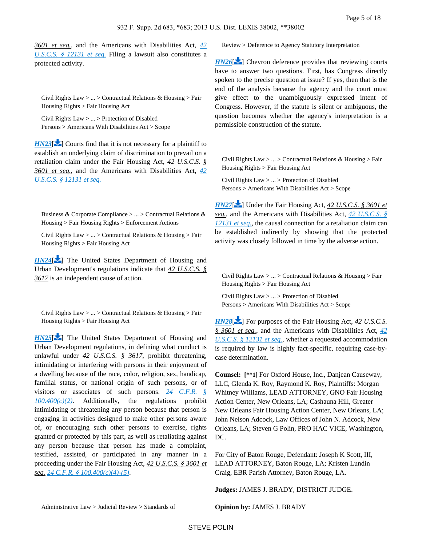<span id="page-4-0"></span>*3601 et seq.*, and the Americans with Disabilities Act, *[42](https://advance.lexis.com/api/document?collection=statutes-legislation&id=urn:contentItem:4YF7-GVG1-NRF4-41T6-00000-00&context=)  [U.S.C.S. § 12131 et seq.](https://advance.lexis.com/api/document?collection=statutes-legislation&id=urn:contentItem:4YF7-GVG1-NRF4-41T6-00000-00&context=)* Filing a lawsuit also constitutes a protected activity.

Civil Rights Law > ... > Contractual Relations & Housing > Fair Housing Rights > Fair Housing Act

Civil Rights Law > ... > Protection of Disabled Persons > Americans With Disabilities Act > Scope

 $H N23$ [\[](#page-15-0) $\sim$ ] Courts find that it is not necessary for a plaintiff to establish an underlying claim of discrimination to prevail on a retaliation claim under the Fair Housing Act, *42 U.S.C.S. § 3601 et seq.*, and the Americans with Disabilities Act, *[42](https://advance.lexis.com/api/document?collection=statutes-legislation&id=urn:contentItem:4YF7-GVG1-NRF4-41T6-00000-00&context=)  [U.S.C.S. § 12131 et seq.](https://advance.lexis.com/api/document?collection=statutes-legislation&id=urn:contentItem:4YF7-GVG1-NRF4-41T6-00000-00&context=)*

<span id="page-4-1"></span>Business & Corporate Compliance > ... > Contractual Relations & Housing > Fair Housing Rights > Enforcement Actions

Civil Rights Law > ... > Contractual Relations & Housing > Fair Housing Rights > Fair Housing Act

<span id="page-4-2"></span>*[HN24](https://advance.lexis.com/api/document?collection=cases&id=urn:contentItem:580P-BFP1-F04D-C24V-00000-00&context=&link=LNHNREFclscc24)*<sup>[\[](#page-15-1)2]</sup> The United States Department of Housing and Urban Development's regulations indicate that *42 U.S.C.S. § 3617* is an independent cause of action.

Civil Rights Law  $> ... >$  Contractual Relations & Housing  $>$  Fair Housing Rights > Fair Housing Act

*[HN25](https://advance.lexis.com/api/document?collection=cases&id=urn:contentItem:580P-BFP1-F04D-C24V-00000-00&context=&link=LNHNREFclscc25)*<sup>[\[](#page-15-2)2]</sup> The United States Department of Housing and Urban Development regulations, in defining what conduct is unlawful under *42 U.S.C.S. § 3617*, prohibit threatening, intimidating or interfering with persons in their enjoyment of a dwelling because of the race, color, religion, sex, handicap, familial status, or national origin of such persons, or of visitors or associates of such persons. *[24 C.F.R. §](https://advance.lexis.com/api/document?collection=administrative-codes&id=urn:contentItem:5MD7-1KX0-008G-Y3MN-00000-00&context=)*   $100.400(c)(2)$ . Additionally, the regulations prohibit intimidating or threatening any person because that person is engaging in activities designed to make other persons aware of, or encouraging such other persons to exercise, rights granted or protected by this part, as well as retaliating against any person because that person has made a complaint, testified, assisted, or participated in any manner in a proceeding under the Fair Housing Act, *42 U.S.C.S. § 3601 et seq. [24 C.F.R. § 100.400\(c\)\(4\)-\(5\)](https://advance.lexis.com/api/document?collection=administrative-codes&id=urn:contentItem:5MD7-1KX0-008G-Y3MN-00000-00&context=)*.

Review > Deference to Agency Statutory Interpretation

*[HN26](https://advance.lexis.com/api/document?collection=cases&id=urn:contentItem:580P-BFP1-F04D-C24V-00000-00&context=&link=LNHNREFclscc26)*<sup>[\[](#page-15-3)2]</sup> Chevron deference provides that reviewing courts have to answer two questions. First, has Congress directly spoken to the precise question at issue? If yes, then that is the end of the analysis because the agency and the court must give effect to the unambiguously expressed intent of Congress. However, if the statute is silent or ambiguous, the question becomes whether the agency's interpretation is a permissible construction of the statute.

<span id="page-4-3"></span>Civil Rights Law  $> ... >$  Contractual Relations & Housing  $>$  Fair Housing Rights > Fair Housing Act

Civil Rights Law > ... > Protection of Disabled Persons > Americans With Disabilities Act > Scope

*[HN27](https://advance.lexis.com/api/document?collection=cases&id=urn:contentItem:580P-BFP1-F04D-C24V-00000-00&context=&link=LNHNREFclscc27)*[\[](#page-15-4) $\blacktriangleright$ ] Under the Fair Housing Act, 42 U.S.C.S. § 3601 et *seq.*, and the Americans with Disabilities Act, *[42 U.S.C.S. §](https://advance.lexis.com/api/document?collection=statutes-legislation&id=urn:contentItem:4YF7-GVG1-NRF4-41T6-00000-00&context=)  [12131 et seq.](https://advance.lexis.com/api/document?collection=statutes-legislation&id=urn:contentItem:4YF7-GVG1-NRF4-41T6-00000-00&context=)*, the causal connection for a retaliation claim can be established indirectly by showing that the protected activity was closely followed in time by the adverse action.

Civil Rights Law  $> ... >$  Contractual Relations & Housing  $>$  Fair Housing Rights > Fair Housing Act

Civil Rights Law > ... > Protection of Disabled Persons > Americans With Disabilities Act > Scope

*[HN28](https://advance.lexis.com/api/document?collection=cases&id=urn:contentItem:580P-BFP1-F04D-C24V-00000-00&context=&link=LNHNREFclscc28)*<sup>[\[](#page-16-0)22]</sup> For purposes of the Fair Housing Act, 42 U.S.C.S. *§ 3601 et seq.*, and the Americans with Disabilities Act, *[42](https://advance.lexis.com/api/document?collection=statutes-legislation&id=urn:contentItem:4YF7-GVG1-NRF4-41T6-00000-00&context=)  [U.S.C.S. § 12131 et seq.](https://advance.lexis.com/api/document?collection=statutes-legislation&id=urn:contentItem:4YF7-GVG1-NRF4-41T6-00000-00&context=)*, whether a requested accommodation is required by law is highly fact-specific, requiring case-bycase determination.

**Counsel: [\*\*1]** For Oxford House, Inc., Danjean Causeway, LLC, Glenda K. Roy, Raymond K. Roy, Plaintiffs: Morgan Whitney Williams, LEAD ATTORNEY, GNO Fair Housing Action Center, New Orleans, LA; Cashauna Hill, Greater New Orleans Fair Housing Action Center, New Orleans, LA; John Nelson Adcock, Law Offices of John N. Adcock, New Orleans, LA; Steven G Polin, PRO HAC VICE, Washington, DC.

For City of Baton Rouge, Defendant: Joseph K Scott, III, LEAD ATTORNEY, Baton Rouge, LA; Kristen Lundin Craig, EBR Parish Attorney, Baton Rouge, LA.

**Judges:** JAMES J. BRADY, DISTRICT JUDGE.

**Opinion by:** JAMES J. BRADY

<span id="page-4-4"></span>Administrative Law > Judicial Review > Standards of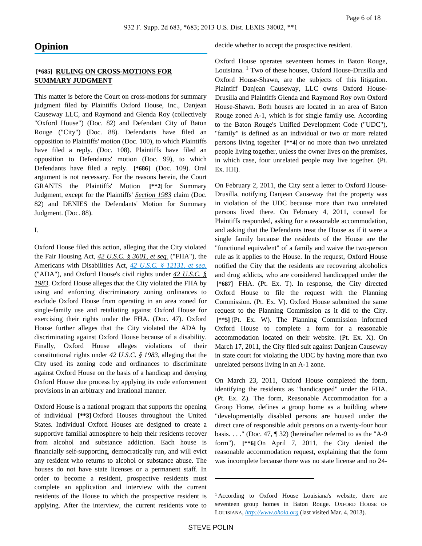## **Opinion**

## **[\*685] RULING ON CROSS-MOTIONS FOR SUMMARY JUDGMENT**

This matter is before the Court on cross-motions for summary judgment filed by Plaintiffs Oxford House, Inc., Danjean Causeway LLC, and Raymond and Glenda Roy (collectively "Oxford House") (Doc. 82) and Defendant City of Baton Rouge ("City") (Doc. 88). Defendants have filed an opposition to Plaintiffs' motion (Doc. 100), to which Plaintiffs have filed a reply. (Doc. 108). Plaintiffs have filed an opposition to Defendants' motion (Doc. 99), to which Defendants have filed a reply. **[\*686]** (Doc. 109). Oral argument is not necessary. For the reasons herein, the Court GRANTS the Plaintiffs' Motion **[\*\*2]** for Summary Judgment, except for the Plaintiffs' *Section 1983* claim (Doc. 82) and DENIES the Defendants' Motion for Summary Judgment. (Doc. 88).

I.

Oxford House filed this action, alleging that the City violated the Fair Housing Act, *42 U.S.C. § 3601, et seq.* ("FHA"), the Americans with Disabilities Act, *[42 U.S.C. § 12131, et seq.](https://advance.lexis.com/api/document?collection=statutes-legislation&id=urn:contentItem:4YF7-GVG1-NRF4-41T6-00000-00&context=)* ("ADA"), and Oxford House's civil rights under *42 U.S.C. § 1983*. Oxford House alleges that the City violated the FHA by using and enforcing discriminatory zoning ordinances to exclude Oxford House from operating in an area zoned for single-family use and retaliating against Oxford House for exercising their rights under the FHA. (Doc. 47). Oxford House further alleges that the City violated the ADA by discriminating against Oxford House because of a disability. Finally, Oxford House alleges violations of their constitutional rights under *42 U.S.C. § 1983*, alleging that the City used its zoning code and ordinances to discriminate against Oxford House on the basis of a handicap and denying Oxford House due process by applying its code enforcement provisions in an arbitrary and irrational manner.

Oxford House is a national program that supports the opening of individual **[\*\*3]** Oxford Houses throughout the United States. Individual Oxford Houses are designed to create a supportive familial atmosphere to help their residents recover from alcohol and substance addiction. Each house is financially self-supporting, democratically run, and will evict any resident who returns to alcohol or substance abuse. The houses do not have state licenses or a permanent staff. In order to become a resident, prospective residents must complete an application and interview with the current residents of the House to which the prospective resident is applying. After the interview, the current residents vote to decide whether to accept the prospective resident.

Oxford House operates seventeen homes in Baton Rouge, Louisiana. <sup>1</sup> Two of these houses, Oxford House-Drusilla and Oxford House-Shawn, are the subjects of this litigation. Plaintiff Danjean Causeway, LLC owns Oxford House-Drusilla and Plaintiffs Glenda and Raymond Roy own Oxford House-Shawn. Both houses are located in an area of Baton Rouge zoned A-1, which is for single family use. According to the Baton Rouge's Unified Development Code ("UDC"), "family" is defined as an individual or two or more related persons living together **[\*\*4]** or no more than two unrelated people living together, unless the owner lives on the premises, in which case, four unrelated people may live together. (Pt. Ex. HH).

On February 2, 2011, the City sent a letter to Oxford House-Drusilla, notifying Danjean Causeway that the property was in violation of the UDC because more than two unrelated persons lived there. On February 4, 2011, counsel for Plaintiffs responded, asking for a reasonable accommodation, and asking that the Defendants treat the House as if it were a single family because the residents of the House are the "functional equivalent" of a family and waive the two-person rule as it applies to the House. In the request, Oxford House notified the City that the residents are recovering alcoholics and drug addicts, who are considered handicapped under the  **[\*687]** FHA. (Pt. Ex. T). In response, the City directed Oxford House to file the request with the Planning Commission. (Pt. Ex. V). Oxford House submitted the same request to the Planning Commission as it did to the City.  **[\*\*5]** (Pt. Ex. W). The Planning Commission informed Oxford House to complete a form for a reasonable accommodation located on their website. (Pt. Ex. X). On March 17, 2011, the City filed suit against Danjean Causeway in state court for violating the UDC by having more than two unrelated persons living in an A-1 zone.

On March 23, 2011, Oxford House completed the form, identifying the residents as "handicapped" under the FHA. (Pt. Ex. Z). The form, Reasonable Accommodation for a Group Home, defines a group home as a building where "developmentally disabled persons are housed under the direct care of responsible adult persons on a twenty-four hour basis.  $\dots$  " (Doc. 47, ¶ 32) (hereinafter referred to as the "A-9 form"). **[\*\*6]** On April 7, 2011, the City denied the reasonable accommodation request, explaining that the form was incomplete because there was no state license and no 24-

<sup>&</sup>lt;sup>1</sup> According to Oxford House Louisiana's website, there are seventeen group homes in Baton Rouge. OXFORD HOUSE OF LOUISIANA, *[http://www.ohola.org](http://www.ohola.org/)* (last visited Mar. 4, 2013).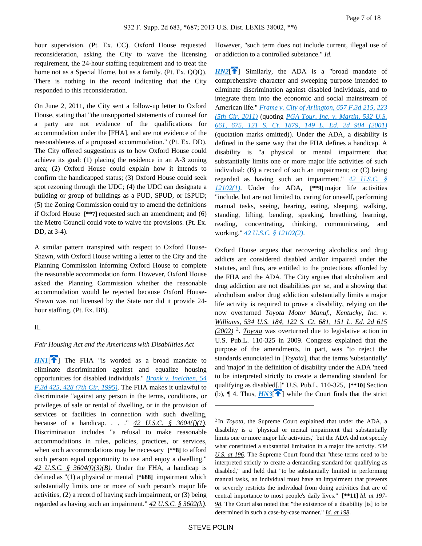hour supervision. (Pt. Ex. CC). Oxford House requested reconsideration, asking the City to waive the licensing requirement, the 24-hour staffing requirement and to treat the home not as a Special Home, but as a family. (Pt. Ex. QQQ). There is nothing in the record indicating that the City responded to this reconsideration.

On June 2, 2011, the City sent a follow-up letter to Oxford House, stating that "the unsupported statements of counsel for a party are not evidence of the qualifications for accommodation under the [FHA], and are not evidence of the reasonableness of a proposed accommodation." (Pt. Ex. DD). The City offered suggestions as to how Oxford House could achieve its goal: (1) placing the residence in an A-3 zoning area; (2) Oxford House could explain how it intends to confirm the handicapped status; (3) Oxford House could seek spot rezoning through the UDC; (4) the UDC can designate a building or group of buildings as a PUD, SPUD, or ISPUD; (5) the Zoning Commission could try to amend the definitions if Oxford House **[\*\*7]** requested such an amendment; and (6) the Metro Council could vote to waive the provisions. (Pt. Ex. DD, at 3-4).

A similar pattern transpired with respect to Oxford House-Shawn, with Oxford House writing a letter to the City and the Planning Commission informing Oxford House to complete the reasonable accommodation form. However, Oxford House asked the Planning Commission whether the reasonable accommodation would be rejected because Oxford House-Shawn was not licensed by the State nor did it provide 24 hour staffing. (Pt. Ex. BB).

II.

#### <span id="page-6-0"></span>*Fair Housing Act and the Americans with Disabilities Act*

**[HN1](https://advance.lexis.com/api/document?collection=cases&id=urn:contentItem:580P-BFP1-F04D-C24V-00000-00&context=&link=clscc1)<sup>[\[](#page-0-0)</sup>** $\uparrow$ ] The FHA "is worded as a broad mandate to eliminate discrimination against and equalize housing opportunities for disabled individuals." *[Bronk v. Ineichen, 54](https://advance.lexis.com/api/document?collection=cases&id=urn:contentItem:3S4X-FB40-001T-D4K8-00000-00&context=)  [F.3d 425, 428 \(7th Cir. 1995\)](https://advance.lexis.com/api/document?collection=cases&id=urn:contentItem:3S4X-FB40-001T-D4K8-00000-00&context=)*. The FHA makes it unlawful to discriminate "against any person in the terms, conditions, or privileges of sale or rental of dwelling, or in the provision of services or facilities in connection with such dwelling, because of a handicap. . . . "  $\frac{42 \text{ U.S.C. } }{\text{S. 3604(f)(1)}}$ . Discrimination includes "a refusal to make reasonable accommodations in rules, policies, practices, or services, when such accommodations may be necessary **[\*\*8]** to afford such person equal opportunity to use and enjoy a dwelling." *42 U.S.C. § 3604(f)(3)(B)*. Under the FHA, a handicap is defined as "(1) a physical or mental **[\*688]** impairment which substantially limits one or more of such person's major life activities, (2) a record of having such impairment, or (3) being regarded as having such an impairment." *42 U.S.C. § 3602(h)*. However, "such term does not include current, illegal use of or addiction to a controlled substance." *Id.*

<span id="page-6-1"></span> $HN2$ <sup>[\[](#page-0-1) $\uparrow$ </sup>] Similarly, the ADA is a "broad mandate of comprehensive character and sweeping purpose intended to eliminate discrimination against disabled individuals, and to integrate them into the economic and social mainstream of American life." *[Frame v. City of Arlington, 657 F.3d 215, 223](https://advance.lexis.com/api/document?collection=cases&id=urn:contentItem:8366-YR11-652R-33PD-00000-00&context=)  [\(5th Cir. 2011\)](https://advance.lexis.com/api/document?collection=cases&id=urn:contentItem:8366-YR11-652R-33PD-00000-00&context=)* (quoting *[PGA Tour, Inc. v. Martin, 532 U.S.](https://advance.lexis.com/api/document?collection=cases&id=urn:contentItem:4354-TBF0-004C-200W-00000-00&context=)  [661, 675, 121 S. Ct. 1879, 149 L. Ed. 2d 904 \(2001\)](https://advance.lexis.com/api/document?collection=cases&id=urn:contentItem:4354-TBF0-004C-200W-00000-00&context=)* (quotation marks omitted)). Under the ADA, a disability is defined in the same way that the FHA defines a handicap. A disability is "a physical or mental impairment that substantially limits one or more major life activities of such individual; (B) a record of such an impairment; or (C) being regarded as having such an impairment." *[42 U.S.C. §](https://advance.lexis.com/api/document?collection=statutes-legislation&id=urn:contentItem:4YF7-GSM1-NRF4-4485-00000-00&context=)  [12102\(1\)](https://advance.lexis.com/api/document?collection=statutes-legislation&id=urn:contentItem:4YF7-GSM1-NRF4-4485-00000-00&context=)*. Under the ADA, **[\*\*9]** major life activities "include, but are not limited to, caring for oneself, performing manual tasks, seeing, hearing, eating, sleeping, walking, standing, lifting, bending, speaking, breathing, learning, reading, concentrating, thinking, communicating, and working." *[42 U.S.C. § 12102\(2\)](https://advance.lexis.com/api/document?collection=statutes-legislation&id=urn:contentItem:4YF7-GSM1-NRF4-4485-00000-00&context=)*.

Oxford House argues that recovering alcoholics and drug addicts are considered disabled and/or impaired under the statutes, and thus, are entitled to the protections afforded by the FHA and the ADA. The City argues that alcoholism and drug addiction are not disabilities *per se*, and a showing that alcoholism and/or drug addiction substantially limits a major life activity is required to prove a disability, relying on the now overturned *Toyota Motor Manuf., Kentucky, Inc. v. Williams, 534 U.S. 184, 122 S. Ct. 681, 151 L. Ed. 2d 615 (2002)* <sup>2</sup> . *Toyota* was overturned due to legislative action in U.S. Pub.L. 110-325 in 2009. Congress explained that the purpose of the amendments, in part, was "to reject the standards enunciated in [*Toyota*], that the terms 'substantially' and 'major' in the definition of disability under the ADA 'need to be interpreted strictly to create a demanding standard for qualifying as disabled[.]" U.S. Pub.L. 110-325, **[\*\*10]** Section (b),  $\P$  4. Thus,  $H N3$ [\[](#page-1-0) $\P$ ] while the Court finds that the strict

<span id="page-6-2"></span><sup>2</sup>In *Toyota*, the Supreme Court explained that under the ADA, a disability is a "physical or mental impairment that substantially limits one or more major life activities," but the ADA did not specify what constituted a substantial limitation in a major life activity. *534 U.S. at 196*. The Supreme Court found that "these terms need to be interpreted strictly to create a demanding standard for qualifying as disabled," and held that "to be substantially limited in performing manual tasks, an individual must have an impairment that prevents or severely restricts the individual from doing activities that are of central importance to most people's daily lives." **[\*\*11]** *Id. at 197- 98*. The Court also noted that "the existence of a disability [is] to be determined in such a case-by-case manner." *Id. at 198*.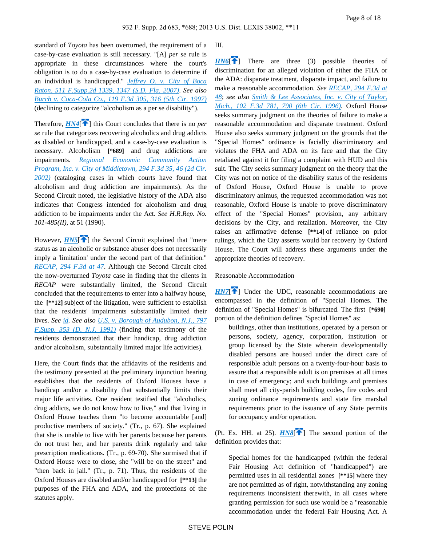standard of *Toyota* has been overturned, the requirement of a case-by-case evaluation is still necessary. "[A] *per se* rule is appropriate in these circumstances where the court's obligation is to do a case-by-case evaluation to determine if an individual is handicapped." *[Jeffrey O. v. City of Boca](https://advance.lexis.com/api/document?collection=cases&id=urn:contentItem:4N50-H9R0-TVTD-031Y-00000-00&context=)  [Raton, 511 F.Supp.2d 1339, 1347 \(S.D. Fla. 2007\)](https://advance.lexis.com/api/document?collection=cases&id=urn:contentItem:4N50-H9R0-TVTD-031Y-00000-00&context=)*. *See also [Burch v. Coca-Cola Co., 119 F.3d 305, 316 \(5th Cir. 1997\)](https://advance.lexis.com/api/document?collection=cases&id=urn:contentItem:3S06-V4C0-00B1-D0DK-00000-00&context=)* (declining to categorize "alcoholism as a per se disability").

<span id="page-7-0"></span>Therefore,  $H N4$ <sup>[\[](#page-1-1) $\uparrow$ </sup>] this Court concludes that there is no *per se* rule that categorizes recovering alcoholics and drug addicts as disabled or handicapped, and a case-by-case evaluation is necessary. Alcoholism **[\*689]** and drug addictions are impairments. *[Regional Economic Community Action](https://advance.lexis.com/api/document?collection=cases&id=urn:contentItem:46SN-36Y0-00B1-D00C-00000-00&context=)  [Program, Inc. v. City of Middletown, 294 F.3d 35, 46 \(2d Cir.](https://advance.lexis.com/api/document?collection=cases&id=urn:contentItem:46SN-36Y0-00B1-D00C-00000-00&context=)  [2002\)](https://advance.lexis.com/api/document?collection=cases&id=urn:contentItem:46SN-36Y0-00B1-D00C-00000-00&context=)* (cataloging cases in which courts have found that alcoholism and drug addiction are impairments). As the Second Circuit noted, the legislative history of the ADA also indicates that Congress intended for alcoholism and drug addiction to be impairments under the Act. *See H.R.Rep. No. 101-485(II)*, at 51 (1990).

<span id="page-7-1"></span>However, *[HN5](https://advance.lexis.com/api/document?collection=cases&id=urn:contentItem:580P-BFP1-F04D-C24V-00000-00&context=&link=clscc5)*<sup>[2[\]](#page-1-2)</sup> the Second Circuit explained that "mere" status as an alcoholic or substance abuser does not necessarily imply a 'limitation' under the second part of that definition." *[RECAP, 294 F.3d at 47](https://advance.lexis.com/api/document?collection=cases&id=urn:contentItem:46SN-36Y0-00B1-D00C-00000-00&context=)*. Although the Second Circuit cited the now-overturned *Toyota* case in finding that the clients in *RECAP* were substantially limited, the Second Circuit concluded that the requirements to enter into a halfway house, the **[\*\*12]** subject of the litigation, were sufficient to establish that the residents' impairments substantially limited their lives. *See [id](https://advance.lexis.com/api/document?collection=cases&id=urn:contentItem:46SN-36Y0-00B1-D00C-00000-00&context=). See also [U.S. v. Borough of Audubon, N.J., 797](https://advance.lexis.com/api/document?collection=cases&id=urn:contentItem:3S4N-B8H0-001T-7304-00000-00&context=)  [F.Supp. 353 \(D. N.J. 1991\)](https://advance.lexis.com/api/document?collection=cases&id=urn:contentItem:3S4N-B8H0-001T-7304-00000-00&context=)* (finding that testimony of the residents demonstrated that their handicap, drug addiction and/or alcoholism, substantially limited major life activities).

Here, the Court finds that the affidavits of the residents and the testimony presented at the preliminary injunction hearing establishes that the residents of Oxford Houses have a handicap and/or a disability that substantially limits their major life activities. One resident testified that "alcoholics, drug addicts, we do not know how to live," and that living in Oxford House teaches them "to become accountable [and] productive members of society." (Tr., p. 67). She explained that she is unable to live with her parents because her parents do not trust her, and her parents drink regularly and take prescription medications. (Tr., p. 69-70). She surmised that if Oxford House were to close, she "will be on the street" and "then back in jail." (Tr., p. 71). Thus, the residents of the Oxford Houses are disabled and/or handicapped for **[\*\*13]** the purposes of the FHA and ADA, and the protections of the statutes apply.

III.

<span id="page-7-2"></span> $H N6$ <sup>[\[](#page-1-3) $\uparrow$ </sup>] There are three (3) possible theories of discrimination for an alleged violation of either the FHA or the ADA: disparate treatment, disparate impact, and failure to make a reasonable accommodation. *See [RECAP, 294 F.3d at](https://advance.lexis.com/api/document?collection=cases&id=urn:contentItem:46SN-36Y0-00B1-D00C-00000-00&context=)  [48](https://advance.lexis.com/api/document?collection=cases&id=urn:contentItem:46SN-36Y0-00B1-D00C-00000-00&context=)*; *see also [Smith & Lee Associates, Inc. v. City of Taylor,](https://advance.lexis.com/api/document?collection=cases&id=urn:contentItem:3S4W-Y930-006F-M12K-00000-00&context=)  [Mich., 102 F.3d 781, 790 \(6th Cir. 1996\)](https://advance.lexis.com/api/document?collection=cases&id=urn:contentItem:3S4W-Y930-006F-M12K-00000-00&context=)*. Oxford House seeks summary judgment on the theories of failure to make a reasonable accommodation and disparate treatment. Oxford House also seeks summary judgment on the grounds that the "Special Homes" ordinance is facially discriminatory and violates the FHA and ADA on its face and that the City retaliated against it for filing a complaint with HUD and this suit. The City seeks summary judgment on the theory that the City was not on notice of the disability status of the residents of Oxford House, Oxford House is unable to prove discriminatory animus, the requested accommodation was not reasonable, Oxford House is unable to prove discriminatory effect of the "Special Homes" provision, any arbitrary decisions by the City, and retaliation. Moreover, the City raises an affirmative defense **[\*\*14]** of reliance on prior rulings, which the City asserts would bar recovery by Oxford House. The Court will address these arguments under the appropriate theories of recovery.

#### <span id="page-7-3"></span>Reasonable Accommodation

*[HN7](https://advance.lexis.com/api/document?collection=cases&id=urn:contentItem:580P-BFP1-F04D-C24V-00000-00&context=&link=clscc7)*<sup>[\[](#page-1-4)42</sup>] Under the UDC, reasonable accommodations are encompassed in the definition of "Special Homes. The definition of "Special Homes" is bifurcated. The first **[\*690]**  portion of the definition defines "Special Homes" as:

buildings, other than institutions, operated by a person or persons, society, agency, corporation, institution or group licensed by the State wherein developmentally disabled persons are housed under the direct care of responsible adult persons on a twenty-four-hour basis to assure that a responsible adult is on premises at all times in case of emergency; and such buildings and premises shall meet all city-parish building codes, fire codes and zoning ordinance requirements and state fire marshal requirements prior to the issuance of any State permits for occupancy and/or operation.

(Pt. Ex. HH. at 25).  $H N 8$ <sup> $\uparrow$ </sup>] The second portion of the definition provides that:

<span id="page-7-4"></span>Special homes for the handicapped (within the federal Fair Housing Act definition of "handicapped") are permitted uses in all residential zones **[\*\*15]** where they are not permitted as of right, notwithstanding any zoning requirements inconsistent therewith, in all cases where granting permission for such use would be a "reasonable accommodation under the federal Fair Housing Act. A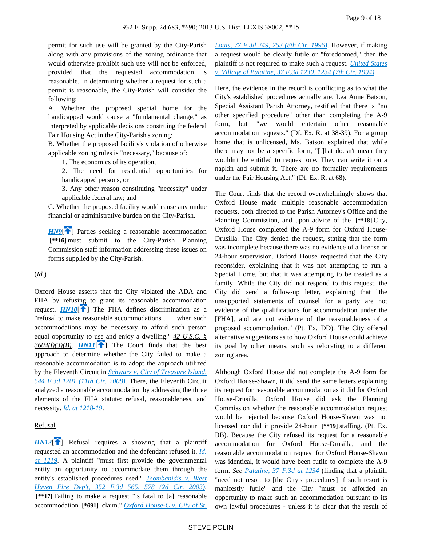permit for such use will be granted by the City-Parish along with any provisions of the zoning ordinance that would otherwise prohibit such use will not be enforced, provided that the requested accommodation is reasonable. In determining whether a request for such a permit is reasonable, the City-Parish will consider the following:

A. Whether the proposed special home for the handicapped would cause a "fundamental change," as interpreted by applicable decisions construing the federal Fair Housing Act in the City-Parish's zoning;

B. Whether the proposed facility's violation of otherwise applicable zoning rules is "necessary," because of:

1. The economics of its operation,

2. The need for residential opportunities for handicapped persons, or

3. Any other reason constituting "necessity" under applicable federal law; and

C. Whether the proposed facility would cause any undue financial or administrative burden on the City-Parish.

<span id="page-8-0"></span>*[HN9](https://advance.lexis.com/api/document?collection=cases&id=urn:contentItem:580P-BFP1-F04D-C24V-00000-00&context=&link=clscc9)*<sup> $\uparrow$ </sup> Parties seeking a reasonable accommodation  **[\*\*16]** must submit to the City-Parish Planning Commission staff information addressing these issues on forms supplied by the City-Parish.

(*Id.*)

<span id="page-8-2"></span><span id="page-8-1"></span>Oxford House asserts that the City violated the ADA and FHA by refusing to grant its reasonable accommodation request.  $HNI0$ <sup>[ $\uparrow$ </sup>] The FHA defines discrimination as a "refusal to make reasonable accommodations . . ., when such accommodations may be necessary to afford such person equal opportunity to use and enjoy a dwelling." *42 U.S.C. §*   $3604(f)(3)(B)$ . *[HN11](https://advance.lexis.com/api/document?collection=cases&id=urn:contentItem:580P-BFP1-F04D-C24V-00000-00&context=&link=clscc11)*<sup>[</sup> $\bullet$ ] The Court finds that the best approach to determine whether the City failed to make a reasonable accommodation is to adopt the approach utilized by the Eleventh Circuit in *[Schwarz v. City of Treasure Island,](https://advance.lexis.com/api/document?collection=cases&id=urn:contentItem:4TMV-9C40-TX4N-G0F7-00000-00&context=)  [544 F.3d 1201 \(11th Cir. 2008\)](https://advance.lexis.com/api/document?collection=cases&id=urn:contentItem:4TMV-9C40-TX4N-G0F7-00000-00&context=)*. There, the Eleventh Circuit analyzed a reasonable accommodation by addressing the three elements of the FHA statute: refusal, reasonableness, and necessity. *[Id. at 1218-19](https://advance.lexis.com/api/document?collection=cases&id=urn:contentItem:4TMV-9C40-TX4N-G0F7-00000-00&context=)*.

#### <span id="page-8-3"></span>Refusal

 $HNI2$ <sup>[\[](#page-2-1)14]</sup> Refusal requires a showing that a plaintiff requested an accommodation and the defendant refused it. *[Id.](https://advance.lexis.com/api/document?collection=cases&id=urn:contentItem:4TMV-9C40-TX4N-G0F7-00000-00&context=)  [at 1219](https://advance.lexis.com/api/document?collection=cases&id=urn:contentItem:4TMV-9C40-TX4N-G0F7-00000-00&context=)*. A plaintiff "must first provide the governmental entity an opportunity to accommodate them through the entity's established procedures used." *[Tsombanidis v. West](https://advance.lexis.com/api/document?collection=cases&id=urn:contentItem:4B7H-MTJ0-0038-X463-00000-00&context=)  [Haven Fire Dep't, 352 F.3d 565, 578 \(2d Cir. 2003\)](https://advance.lexis.com/api/document?collection=cases&id=urn:contentItem:4B7H-MTJ0-0038-X463-00000-00&context=)*.  **[\*\*17]** Failing to make a request "is fatal to [a] reasonable accommodation **[\*691]** claim." *[Oxford House-C v. City of St.](https://advance.lexis.com/api/document?collection=cases&id=urn:contentItem:3S4X-3RY0-006F-M1T2-00000-00&context=)* 

*[Louis, 77 F.3d 249, 253 \(8th Cir. 1996\)](https://advance.lexis.com/api/document?collection=cases&id=urn:contentItem:3S4X-3RY0-006F-M1T2-00000-00&context=)*. However, if making a request would be clearly futile or "foredoomed," then the plaintiff is not required to make such a request. *[United States](https://advance.lexis.com/api/document?collection=cases&id=urn:contentItem:3S4X-1YN0-003B-P0W7-00000-00&context=)  [v. Village of Palatine, 37 F.3d 1230, 1234 \(7th Cir. 1994\)](https://advance.lexis.com/api/document?collection=cases&id=urn:contentItem:3S4X-1YN0-003B-P0W7-00000-00&context=)*.

Here, the evidence in the record is conflicting as to what the City's established procedures actually are. Lea Anne Batson, Special Assistant Parish Attorney, testified that there is "no other specified procedure" other than completing the A-9 form, but "we would entertain other reasonable accommodation requests." (Df. Ex. R. at 38-39). For a group home that is unlicensed, Ms. Batson explained that while there may not be a specific form, "[t]hat doesn't mean they wouldn't be entitled to request one. They can write it on a napkin and submit it. There are no formality requirements under the Fair Housing Act." (Df. Ex. R. at 68).

The Court finds that the record overwhelmingly shows that Oxford House made multiple reasonable accommodation requests, both directed to the Parish Attorney's Office and the Planning Commission, and upon advice of the **[\*\*18]** City, Oxford House completed the A-9 form for Oxford House-Drusilla. The City denied the request, stating that the form was incomplete because there was no evidence of a license or 24-hour supervision. Oxford House requested that the City reconsider, explaining that it was not attempting to run a Special Home, but that it was attempting to be treated as a family. While the City did not respond to this request, the City did send a follow-up letter, explaining that "the unsupported statements of counsel for a party are not evidence of the qualifications for accommodation under the [FHA], and are not evidence of the reasonableness of a proposed accommodation." (Pt. Ex. DD). The City offered alternative suggestions as to how Oxford House could achieve its goal by other means, such as relocating to a different zoning area.

Although Oxford House did not complete the A-9 form for Oxford House-Shawn, it did send the same letters explaining its request for reasonable accommodation as it did for Oxford House-Drusilla. Oxford House did ask the Planning Commission whether the reasonable accommodation request would be rejected because Oxford House-Shawn was not licensed nor did it provide 24-hour **[\*\*19]** staffing. (Pt. Ex. BB). Because the City refused its request for a reasonable accommodation for Oxford House-Drusilla, and the reasonable accommodation request for Oxford House-Shawn was identical, it would have been futile to complete the A-9 form. *See [Palatine, 37 F.3d at 1234](https://advance.lexis.com/api/document?collection=cases&id=urn:contentItem:3S4X-1YN0-003B-P0W7-00000-00&context=)* (finding that a plaintiff "need not resort to [the City's procedures] if such resort is manifestly futile" and the City "must be afforded an opportunity to make such an accommodation pursuant to its own lawful procedures - unless it is clear that the result of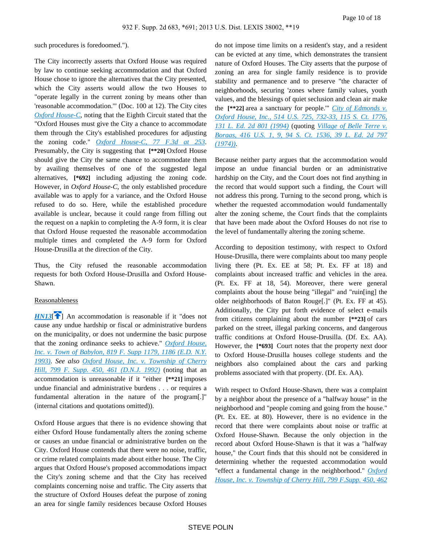such procedures is foredoomed.").

The City incorrectly asserts that Oxford House was required by law to continue seeking accommodation and that Oxford House chose to ignore the alternatives that the City presented, which the City asserts would allow the two Houses to "operate legally in the current zoning by means other than 'reasonable accommodation.'" (Doc. 100 at 12). The City cites *[Oxford House-C](https://advance.lexis.com/api/document?collection=cases&id=urn:contentItem:3S4X-3RY0-006F-M1T2-00000-00&context=)*, noting that the Eighth Circuit stated that the "Oxford Houses must give the City a chance to accommodate them through the City's established procedures for adjusting the zoning code." *[Oxford House-C, 77 F.3d at 253](https://advance.lexis.com/api/document?collection=cases&id=urn:contentItem:3S4X-3RY0-006F-M1T2-00000-00&context=)*. Presumably, the City is suggesting that **[\*\*20]** Oxford House should give the City the same chance to accommodate them by availing themselves of one of the suggested legal alternatives, **[\*692]** including adjusting the zoning code. However, in *Oxford House-C*, the only established procedure available was to apply for a variance, and the Oxford House refused to do so. Here, while the established procedure available is unclear, because it could range from filling out the request on a napkin to completing the A-9 form, it is clear that Oxford House requested the reasonable accommodation multiple times and completed the A-9 form for Oxford House-Drusilla at the direction of the City.

Thus, the City refused the reasonable accommodation requests for both Oxford House-Drusilla and Oxford House-Shawn.

### <span id="page-9-0"></span>Reasonableness

*[HN13](https://advance.lexis.com/api/document?collection=cases&id=urn:contentItem:580P-BFP1-F04D-C24V-00000-00&context=&link=clscc13)*<sup>[\[](#page-2-2)2]</sup> An accommodation is reasonable if it "does not" cause any undue hardship or fiscal or administrative burdens on the municipality, or does not undermine the basic purpose that the zoning ordinance seeks to achieve." *[Oxford House,](https://advance.lexis.com/api/document?collection=cases&id=urn:contentItem:3S4N-SJ40-001T-6260-00000-00&context=)  [Inc. v. Town of Babylon, 819 F. Supp 1179, 1186 \(E.D. N.Y.](https://advance.lexis.com/api/document?collection=cases&id=urn:contentItem:3S4N-SJ40-001T-6260-00000-00&context=)  [1993\)](https://advance.lexis.com/api/document?collection=cases&id=urn:contentItem:3S4N-SJ40-001T-6260-00000-00&context=)*. *See also [Oxford House, Inc. v. Township of Cherry](https://advance.lexis.com/api/document?collection=cases&id=urn:contentItem:3S4N-GPD0-008H-F367-00000-00&context=)  [Hill, 799 F. Supp. 450, 461 \(D.N.J. 1992\)](https://advance.lexis.com/api/document?collection=cases&id=urn:contentItem:3S4N-GPD0-008H-F367-00000-00&context=)* (noting that an accommodation is unreasonable if it "either **[\*\*21]** imposes undue financial and administrative burdens . . . or requires a fundamental alteration in the nature of the program[.]" (internal citations and quotations omitted)).

Oxford House argues that there is no evidence showing that either Oxford House fundamentally alters the zoning scheme or causes an undue financial or administrative burden on the City. Oxford House contends that there were no noise, traffic, or crime related complaints made about either house. The City argues that Oxford House's proposed accommodations impact the City's zoning scheme and that the City has received complaints concerning noise and traffic. The City asserts that the structure of Oxford Houses defeat the purpose of zoning an area for single family residences because Oxford Houses do not impose time limits on a resident's stay, and a resident can be evicted at any time, which demonstrates the transient nature of Oxford Houses. The City asserts that the purpose of zoning an area for single family residence is to provide stability and permanence and to preserve "the character of neighborhoods, securing 'zones where family values, youth values, and the blessings of quiet seclusion and clean air make the **[\*\*22]** area a sanctuary for people.'" *[City of Edmonds v.](https://advance.lexis.com/api/document?collection=cases&id=urn:contentItem:3S42-78R0-003B-R3P1-00000-00&context=)  [Oxford House, Inc., 514 U.S. 725, 732-33, 115 S. Ct. 1776,](https://advance.lexis.com/api/document?collection=cases&id=urn:contentItem:3S42-78R0-003B-R3P1-00000-00&context=)  [131 L. Ed. 2d 801 \(1994\)](https://advance.lexis.com/api/document?collection=cases&id=urn:contentItem:3S42-78R0-003B-R3P1-00000-00&context=)* (quoting *[Village of Belle Terre v.](https://advance.lexis.com/api/document?collection=cases&id=urn:contentItem:3S4X-CDG0-003B-S3GN-00000-00&context=)  [Boraas, 416 U.S. 1, 9, 94 S. Ct. 1536, 39 L. Ed. 2d 797](https://advance.lexis.com/api/document?collection=cases&id=urn:contentItem:3S4X-CDG0-003B-S3GN-00000-00&context=)  [\(1974\)\)](https://advance.lexis.com/api/document?collection=cases&id=urn:contentItem:3S4X-CDG0-003B-S3GN-00000-00&context=)*.

Because neither party argues that the accommodation would impose an undue financial burden or an administrative hardship on the City, and the Court does not find anything in the record that would support such a finding, the Court will not address this prong. Turning to the second prong, which is whether the requested accommodation would fundamentally alter the zoning scheme, the Court finds that the complaints that have been made about the Oxford Houses do not rise to the level of fundamentally altering the zoning scheme.

According to deposition testimony, with respect to Oxford House-Drusilla, there were complaints about too many people living there (Pt. Ex. EE at 58; Pt. Ex. FF at 18) and complaints about increased traffic and vehicles in the area. (Pt. Ex. FF at 18, 54). Moreover, there were general complaints about the house being "illegal" and "ruin[ing] the older neighborhoods of Baton Rouge[.]" (Pt. Ex. FF at 45). Additionally, the City put forth evidence of select e-mails from citizens complaining about the number **[\*\*23]** of cars parked on the street, illegal parking concerns, and dangerous traffic conditions at Oxford House-Drusilla. (Df. Ex. AA). However, the **[\*693]** Court notes that the property next door to Oxford House-Drusilla houses college students and the neighbors also complained about the cars and parking problems associated with that property. (Df. Ex. AA).

With respect to Oxford House-Shawn, there was a complaint by a neighbor about the presence of a "halfway house" in the neighborhood and "people coming and going from the house." (Pt. Ex. EE. at 80). However, there is no evidence in the record that there were complaints about noise or traffic at Oxford House-Shawn. Because the only objection in the record about Oxford House-Shawn is that it was a "halfway house," the Court finds that this should not be considered in determining whether the requested accommodation would "effect a fundamental change in the neighborhood." *[Oxford](https://advance.lexis.com/api/document?collection=cases&id=urn:contentItem:3S4N-GPD0-008H-F367-00000-00&context=)  [House, Inc. v. Township of Cherry Hill, 799 F.Supp. 450, 462](https://advance.lexis.com/api/document?collection=cases&id=urn:contentItem:3S4N-GPD0-008H-F367-00000-00&context=)*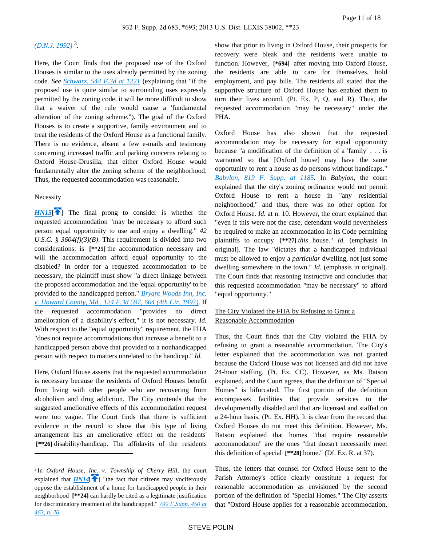## *[\(D.N.J. 1992\)](https://advance.lexis.com/api/document?collection=cases&id=urn:contentItem:3S4N-GPD0-008H-F367-00000-00&context=)* <sup>3</sup> .

Here, the Court finds that the proposed use of the Oxford Houses is similar to the uses already permitted by the zoning code. *See [Schwarz, 544 F.3d at 1221](https://advance.lexis.com/api/document?collection=cases&id=urn:contentItem:4TMV-9C40-TX4N-G0F7-00000-00&context=)* (explaining that "if the proposed use is quite similar to surrounding uses expressly permitted by the zoning code, it will be more difficult to show that a waiver of the rule would cause a 'fundamental alteration' of the zoning scheme."). The goal of the Oxford Houses is to create a supportive, family environment and to treat the residents of the Oxford House as a functional family. There is no evidence, absent a few e-mails and testimony concerning increased traffic and parking concerns relating to Oxford House-Drusilla, that either Oxford House would fundamentally alter the zoning scheme of the neighborhood. Thus, the requested accommodation was reasonable.

#### Necessity

<span id="page-10-1"></span> $HN15$ [\[](#page-2-3) $\uparrow$ ] The final prong to consider is whether the requested accommodation "may be necessary to afford such person equal opportunity to use and enjoy a dwelling." *42 U.S.C. § 3604(f)(3)(B)*. This requirement is divided into two considerations: is **[\*\*25]** the accommodation necessary and will the accommodation afford equal opportunity to the disabled? In order for a requested accommodation to be necessary, the plaintiff must show "a direct linkage between the proposed accommodation and the 'equal opportunity' to be provided to the handicapped person." *[Bryant Woods Inn, Inc.](https://advance.lexis.com/api/document?collection=cases&id=urn:contentItem:3S24-9TC0-00B1-D0S7-00000-00&context=)  [v. Howard County, Md., 124 F.3d 597, 604 \(4th Cir. 1997\)](https://advance.lexis.com/api/document?collection=cases&id=urn:contentItem:3S24-9TC0-00B1-D0S7-00000-00&context=)*. If the requested accommodation "provides no direct amelioration of a disability's effect," it is not necessary. *Id.* With respect to the "equal opportunity" requirement, the FHA "does not require accommodations that increase a benefit to a handicapped person above that provided to a nonhandicapped person with respect to matters unrelated to the handicap." *Id.*

Here, Oxford House asserts that the requested accommodation is necessary because the residents of Oxford Houses benefit from living with other people who are recovering from alcoholism and drug addiction. The City contends that the suggested ameliorative effects of this accommodation request were too vague. The Court finds that there is sufficient evidence in the record to show that this type of living arrangement has an ameliorative effect on the residents'  **[\*\*26]** disability/handicap. The affidavits of the residents

show that prior to living in Oxford House, their prospects for recovery were bleak and the residents were unable to function. However, **[\*694]** after moving into Oxford House, the residents are able to care for themselves, hold employment, and pay bills. The residents all stated that the supportive structure of Oxford House has enabled them to turn their lives around. (Pt. Ex. P, Q, and R). Thus, the requested accommodation "may be necessary" under the FHA.

Oxford House has also shown that the requested accommodation may be necessary for equal opportunity because "a modification of the definition of a 'family' . . . is warranted so that [Oxford house] may have the same opportunity to rent a house as do persons without handicaps." *[Babylon, 819 F. Supp. at 1185](https://advance.lexis.com/api/document?collection=cases&id=urn:contentItem:3S4N-SJ40-001T-6260-00000-00&context=)*. In *Babylon*, the court explained that the city's zoning ordinance would not permit Oxford House to rent a house in "any residential neighborhood," and thus, there was no other option for Oxford House. *Id.* at n. 10. However, the court explained that "even if this were not the case, defendant would nevertheless be required to make an accommodation in its Code permitting plaintiffs to occupy **[\*\*27]** *this* house." *Id.* (emphasis in original). The law "dictates that a handicapped individual must be allowed to enjoy a *particular* dwelling, not just some dwelling somewhere in the town." *Id.* (emphasis in original). The Court finds that reasoning instructive and concludes that this requested accommodation "may be necessary" to afford "equal opportunity."

## The City Violated the FHA by Refusing to Grant a Reasonable Accommodation

Thus, the Court finds that the City violated the FHA by refusing to grant a reasonable accommodation. The City's letter explained that the accommodation was not granted because the Oxford House was not licensed and did not have 24-hour staffing. (Pt. Ex. CC). However, as Ms. Batson explained, and the Court agrees, that the definition of "Special Homes" is bifurcated. The first portion of the definition encompasses facilities that provide services to the developmentally disabled and that are licensed and staffed on a 24-hour basis. (Pt. Ex. HH). It is clear from the record that Oxford Houses do not meet this definition. However, Ms. Batson explained that homes "that require reasonable accommodation" are the ones "that doesn't necessarily meet this definition of special **[\*\*28]** home." (Df. Ex. R. at 37).

Thus, the letters that counsel for Oxford House sent to the Parish Attorney's office clearly constitute a request for reasonable accommodation as envisioned by the second portion of the definition of "Special Homes." The City asserts that "Oxford House applies for a reasonable accommodation,

<span id="page-10-0"></span><sup>3</sup>In *Oxford House, Inc. v. Township of Cherry Hill*, the court explained that  $HM14$ <sup> $\uparrow$ </sup>[\]](#page-2-4) "the fact that citizens may vociferously oppose the establishment of a home for handicapped people in their neighborhood **[\*\*24]** can hardly be cited as a legitimate justification for discriminatory treatment of the handicapped." *[799 F.Supp. 450 at](https://advance.lexis.com/api/document?collection=cases&id=urn:contentItem:3S4N-GPD0-008H-F367-00000-00&context=)  [463, n. 26](https://advance.lexis.com/api/document?collection=cases&id=urn:contentItem:3S4N-GPD0-008H-F367-00000-00&context=)*.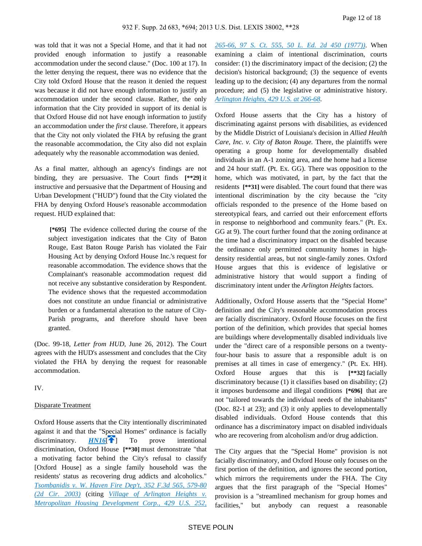was told that it was not a Special Home, and that it had not provided enough information to justify a reasonable accommodation under the second clause." (Doc. 100 at 17). In the letter denying the request, there was no evidence that the City told Oxford House that the reason it denied the request was because it did not have enough information to justify an accommodation under the second clause. Rather, the only information that the City provided in support of its denial is that Oxford House did not have enough information to justify an accommodation under the *first* clause. Therefore, it appears that the City not only violated the FHA by refusing the grant the reasonable accommodation, the City also did not explain adequately why the reasonable accommodation was denied.

As a final matter, although an agency's findings are not binding, they are persuasive. The Court finds **[\*\*29]** it instructive and persuasive that the Department of Housing and Urban Development ("HUD") found that the City violated the FHA by denying Oxford House's reasonable accommodation request. HUD explained that:

 **[\*695]** The evidence collected during the course of the subject investigation indicates that the City of Baton Rouge, East Baton Rouge Parish has violated the Fair Housing Act by denying Oxford House Inc.'s request for reasonable accommodation. The evidence shows that the Complainant's reasonable accommodation request did not receive any substantive consideration by Respondent. The evidence shows that the requested accommodation does not constitute an undue financial or administrative burden or a fundamental alteration to the nature of City-Parish programs, and therefore should have been granted.

(Doc. 99-18, *Letter from HUD*, June 26, 2012). The Court agrees with the HUD's assessment and concludes that the City violated the FHA by denying the request for reasonable accommodation.

IV.

#### Disparate Treatment

<span id="page-11-0"></span>Oxford House asserts that the City intentionally discriminated against it and that the "Special Homes" ordinance is facially discriminatory. **[HN16](https://advance.lexis.com/api/document?collection=cases&id=urn:contentItem:580P-BFP1-F04D-C24V-00000-00&context=&link=clscc16)<sup>[4]</sup>** To prove intentional discrimination, Oxford House **[\*\*30]** must demonstrate "that a motivating factor behind the City's refusal to classify [Oxford House] as a single family household was the residents' status as recovering drug addicts and alcoholics." *[Tsombanidis v. W. Haven Fire Dep't, 352 F.3d 565, 579-80](https://advance.lexis.com/api/document?collection=cases&id=urn:contentItem:4B7H-MTJ0-0038-X463-00000-00&context=)  [\(2d Cir. 2003\)](https://advance.lexis.com/api/document?collection=cases&id=urn:contentItem:4B7H-MTJ0-0038-X463-00000-00&context=)* (citing *[Village of Arlington Heights v.](https://advance.lexis.com/api/document?collection=cases&id=urn:contentItem:3S4X-9M30-003B-S4DP-00000-00&context=)  [Metropolitan Housing Development Corp., 429 U.S. 252,](https://advance.lexis.com/api/document?collection=cases&id=urn:contentItem:3S4X-9M30-003B-S4DP-00000-00&context=)* 

*[265-66, 97 S. Ct. 555, 50 L. Ed. 2d 450 \(1977\)\)](https://advance.lexis.com/api/document?collection=cases&id=urn:contentItem:3S4X-9M30-003B-S4DP-00000-00&context=)*. When examining a claim of intentional discrimination, courts consider: (1) the discriminatory impact of the decision; (2) the decision's historical background; (3) the sequence of events leading up to the decision; (4) any departures from the normal procedure; and (5) the legislative or administrative history. *[Arlington Heights, 429 U.S. at 266-68](https://advance.lexis.com/api/document?collection=cases&id=urn:contentItem:3S4X-9M30-003B-S4DP-00000-00&context=)*.

Oxford House asserts that the City has a history of discriminating against persons with disabilities, as evidenced by the Middle District of Louisiana's decision in *Allied Health Care, Inc. v. City of Baton Rouge.* There, the plaintiffs were operating a group home for developmentally disabled individuals in an A-1 zoning area, and the home had a license and 24 hour staff. (Pt. Ex. GG). There was opposition to the home, which was motivated, in part, by the fact that the residents **[\*\*31]** were disabled. The court found that there was intentional discrimination by the city because the "city officials responded to the presence of the Home based on stereotypical fears, and carried out their enforcement efforts in response to neighborhood and community fears." (Pt. Ex. GG at 9). The court further found that the zoning ordinance at the time had a discriminatory impact on the disabled because the ordinance only permitted community homes in highdensity residential areas, but not single-family zones. Oxford House argues that this is evidence of legislative or administrative history that would support a finding of discriminatory intent under the *Arlington Heights* factors.

Additionally, Oxford House asserts that the "Special Home" definition and the City's reasonable accommodation process are facially discriminatory. Oxford House focuses on the first portion of the definition, which provides that special homes are buildings where developmentally disabled individuals live under the "direct care of a responsible persons on a twentyfour-hour basis to assure that a responsible adult is on premises at all times in case of emergency." (Pt. Ex. HH). Oxford House argues that this is **[\*\*32]** facially discriminatory because (1) it classifies based on disability; (2) it imposes burdensome and illegal conditions **[\*696]** that are not "tailored towards the individual needs of the inhabitants" (Doc. 82-1 at 23); and (3) it only applies to developmentally disabled individuals. Oxford House contends that this ordinance has a discriminatory impact on disabled individuals who are recovering from alcoholism and/or drug addiction.

The City argues that the "Special Home" provision is not facially discriminatory, and Oxford House only focuses on the first portion of the definition, and ignores the second portion, which mirrors the requirements under the FHA. The City argues that the first paragraph of the "Special Homes" provision is a "streamlined mechanism for group homes and facilities," but anybody can request a reasonable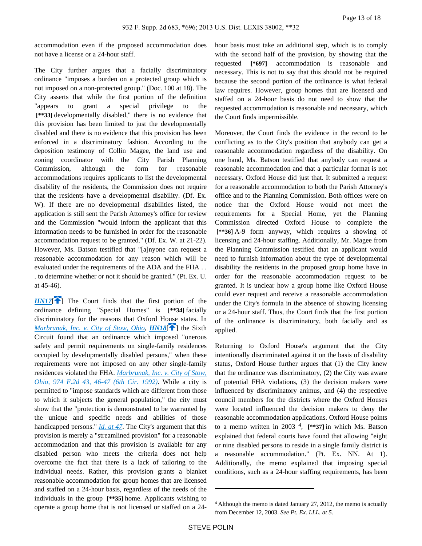accommodation even if the proposed accommodation does not have a license or a 24-hour staff.

The City further argues that a facially discriminatory ordinance "imposes a burden on a protected group which is not imposed on a non-protected group." (Doc. 100 at 18). The City asserts that while the first portion of the definition "appears to grant a special privilege to the  **[\*\*33]** developmentally disabled," there is no evidence that this provision has been limited to just the developmentally disabled and there is no evidence that this provision has been enforced in a discriminatory fashion. According to the deposition testimony of Collin Magee, the land use and zoning coordinator with the City Parish Planning Commission, although the form for reasonable accommodations requires applicants to list the developmental disability of the residents, the Commission does not require that the residents have a developmental disability. (Df. Ex. W). If there are no developmental disabilities listed, the application is still sent the Parish Attorney's office for review and the Commission "would inform the applicant that this information needs to be furnished in order for the reasonable accommodation request to be granted." (Df. Ex. W. at 21-22). However, Ms. Batson testified that "[a]nyone can request a reasonable accommodation for any reason which will be evaluated under the requirements of the ADA and the FHA . . . to determine whether or not it should be granted." (Pt. Ex. U. at 45-46).

<span id="page-12-0"></span>*[HN17](https://advance.lexis.com/api/document?collection=cases&id=urn:contentItem:580P-BFP1-F04D-C24V-00000-00&context=&link=clscc17)*[\[](#page-3-0) ] The Court finds that the first portion of the ordinance defining "Special Homes" is **[\*\*34]** facially discriminatory for the reasons that Oxford House states. In *[Marbrunak, Inc. v. City of Stow, Ohio](https://advance.lexis.com/api/document?collection=cases&id=urn:contentItem:3S4X-1FY0-008H-V4CB-00000-00&context=), [HN18](https://advance.lexis.com/api/document?collection=cases&id=urn:contentItem:580P-BFP1-F04D-C24V-00000-00&context=&link=clscc18)*<sup>[4]</sup> the Sixth Circuit found that an ordinance which imposed "onerous safety and permit requirements on single-family residences occupied by developmentally disabled persons," when these requirements were not imposed on any other single-family residences violated the FHA. *[Marbrunak, Inc. v. City of Stow,](https://advance.lexis.com/api/document?collection=cases&id=urn:contentItem:3S4X-1FY0-008H-V4CB-00000-00&context=)  [Ohio, 974 F.2d 43, 46-47 \(6th Cir. 1992\)](https://advance.lexis.com/api/document?collection=cases&id=urn:contentItem:3S4X-1FY0-008H-V4CB-00000-00&context=)*. While a city is permitted to "impose standards which are different from those to which it subjects the general population," the city must show that the "protection is demonstrated to be warranted by the unique and specific needs and abilities of those handicapped persons." *[Id. at 47](https://advance.lexis.com/api/document?collection=cases&id=urn:contentItem:3S4X-1FY0-008H-V4CB-00000-00&context=)*. The City's argument that this provision is merely a "streamlined provision" for a reasonable accommodation and that this provision is available for any disabled person who meets the criteria does not help overcome the fact that there is a lack of tailoring to the individual needs. Rather, this provision grants a blanket reasonable accommodation for group homes that are licensed and staffed on a 24-hour basis, regardless of the needs of the individuals in the group **[\*\*35]** home. Applicants wishing to operate a group home that is not licensed or staffed on a 24hour basis must take an additional step, which is to comply with the second half of the provision, by showing that the requested **[\*697]** accommodation is reasonable and necessary. This is not to say that this should not be required because the second portion of the ordinance is what federal law requires. However, group homes that are licensed and staffed on a 24-hour basis do not need to show that the requested accommodation is reasonable and necessary, which the Court finds impermissible.

Moreover, the Court finds the evidence in the record to be conflicting as to the City's position that anybody can get a reasonable accommodation regardless of the disability. On one hand, Ms. Batson testified that anybody can request a reasonable accommodation and that a particular format is not necessary. Oxford House did just that. It submitted a request for a reasonable accommodation to both the Parish Attorney's office and to the Planning Commission. Both offices were on notice that the Oxford House would not meet the requirements for a Special Home, yet the Planning Commission directed Oxford House to complete the  **[\*\*36]** A-9 form anyway, which requires a showing of licensing and 24-hour staffing. Additionally, Mr. Magee from the Planning Commission testified that an applicant would need to furnish information about the type of developmental disability the residents in the proposed group home have in order for the reasonable accommodation request to be granted. It is unclear how a group home like Oxford House could ever request and receive a reasonable accommodation under the City's formula in the absence of showing licensing or a 24-hour staff. Thus, the Court finds that the first portion of the ordinance is discriminatory, both facially and as applied.

<span id="page-12-1"></span>Returning to Oxford House's argument that the City intentionally discriminated against it on the basis of disability status, Oxford House further argues that (1) the City knew that the ordinance was discriminatory, (2) the City was aware of potential FHA violations, (3) the decision makers were influenced by discriminatory animus, and (4) the respective council members for the districts where the Oxford Houses were located influenced the decision makers to deny the reasonable accommodation applications. Oxford House points to a memo written in 2003 <sup>4</sup> , **[\*\*37]** in which Ms. Batson explained that federal courts have found that allowing "eight or nine disabled persons to reside in a single family district is a reasonable accommodation." (Pt. Ex. NN. At 1). Additionally, the memo explained that imposing special conditions, such as a 24-hour staffing requirements, has been

<sup>4</sup>Although the memo is dated January 27, 2012, the memo is actually from December 12, 2003. *See Pt. Ex. LLL. at 5.*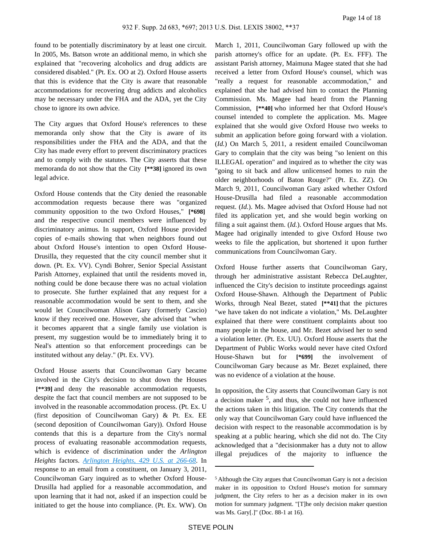found to be potentially discriminatory by at least one circuit. In 2005, Ms. Batson wrote an additional memo, in which she explained that "recovering alcoholics and drug addicts are considered disabled." (Pt. Ex. OO at 2). Oxford House asserts that this is evidence that the City is aware that reasonable accommodations for recovering drug addicts and alcoholics may be necessary under the FHA and the ADA, yet the City chose to ignore its own advice.

The City argues that Oxford House's references to these memoranda only show that the City is aware of its responsibilities under the FHA and the ADA, and that the City has made every effort to prevent discriminatory practices and to comply with the statutes. The City asserts that these memoranda do not show that the City **[\*\*38]** ignored its own legal advice.

Oxford House contends that the City denied the reasonable accommodation requests because there was "organized community opposition to the two Oxford Houses," **[\*698]**  and the respective council members were influenced by discriminatory animus. In support, Oxford House provided copies of e-mails showing that when neighbors found out about Oxford House's intention to open Oxford House-Drusilla, they requested that the city council member shut it down. (Pt. Ex. VV). Cyndi Bohrer, Senior Special Assistant Parish Attorney, explained that until the residents moved in, nothing could be done because there was no actual violation to prosecute. She further explained that any request for a reasonable accommodation would be sent to them, and she would let Councilwoman Alison Gary (formerly Cascio) know if they received one. However, she advised that "when it becomes apparent that a single family use violation is present, my suggestion would be to immediately bring it to Neal's attention so that enforcement proceedings can be instituted without any delay." (Pt. Ex. VV).

Oxford House asserts that Councilwoman Gary became involved in the City's decision to shut down the Houses  **[\*\*39]** and deny the reasonable accommodation requests, despite the fact that council members are not supposed to be involved in the reasonable accommodation process. (Pt. Ex. U (first deposition of Councilwoman Gary) & Pt. Ex. EE (second deposition of Councilwoman Gary)). Oxford House contends that this is a departure from the City's normal process of evaluating reasonable accommodation requests, which is evidence of discrimination under the *Arlington Heights* factors. *[Arlington Heights, 429 U.S. at 266-68](https://advance.lexis.com/api/document?collection=cases&id=urn:contentItem:3S4X-9M30-003B-S4DP-00000-00&context=)*. In response to an email from a constituent, on January 3, 2011, Councilwoman Gary inquired as to whether Oxford House-Drusilla had applied for a reasonable accommodation, and upon learning that it had not, asked if an inspection could be initiated to get the house into compliance. (Pt. Ex. WW). On

March 1, 2011, Councilwoman Gary followed up with the parish attorney's office for an update. (Pt. Ex. FFF). The assistant Parish attorney, Maimuna Magee stated that she had received a letter from Oxford House's counsel, which was "really a request for reasonable accommodation," and explained that she had advised him to contact the Planning Commission. Ms. Magee had heard from the Planning Commission, **[\*\*40]** who informed her that Oxford House's counsel intended to complete the application. Ms. Magee explained that she would give Oxford House two weeks to submit an application before going forward with a violation. (*Id.*) On March 5, 2011, a resident emailed Councilwoman Gary to complain that the city was being "so lenient on this ILLEGAL operation" and inquired as to whether the city was "going to sit back and allow unlicensed homes to ruin the older neighborhoods of Baton Rouge?" (Pt. Ex. ZZ). On March 9, 2011, Councilwoman Gary asked whether Oxford House-Drusilla had filed a reasonable accommodation request. (*Id.*). Ms. Magee advised that Oxford House had not filed its application yet, and she would begin working on filing a suit against them. (*Id.*). Oxford House argues that Ms. Magee had originally intended to give Oxford House two weeks to file the application, but shortened it upon further communications from Councilwoman Gary.

Oxford House further asserts that Councilwoman Gary, through her administrative assistant Rebecca DeLaughter, influenced the City's decision to institute proceedings against Oxford House-Shawn. Although the Department of Public Works, through Neal Bezet, stated **[\*\*41]** that the pictures "we have taken do not indicate a violation," Ms. DeLaughter explained that there were constituent complaints about too many people in the house, and Mr. Bezet advised her to send a violation letter. (Pt. Ex. UU). Oxford House asserts that the Department of Public Works would never have cited Oxford House-Shawn but for **[\*699]** the involvement of Councilwoman Gary because as Mr. Bezet explained, there was no evidence of a violation at the house.

In opposition, the City asserts that Councilwoman Gary is not a decision maker <sup>5</sup>, and thus, she could not have influenced the actions taken in this litigation. The City contends that the only way that Councilwoman Gary could have influenced the decision with respect to the reasonable accommodation is by speaking at a public hearing, which she did not do. The City acknowledged that a "decisionmaker has a duty not to allow illegal prejudices of the majority to influence the

<sup>5</sup>Although the City argues that Councilwoman Gary is not a decision maker in its opposition to Oxford House's motion for summary judgment, the City refers to her as a decision maker in its own motion for summary judgment. "[T]he only decision maker question was Ms. Gary[.]" (Doc. 88-1 at 16).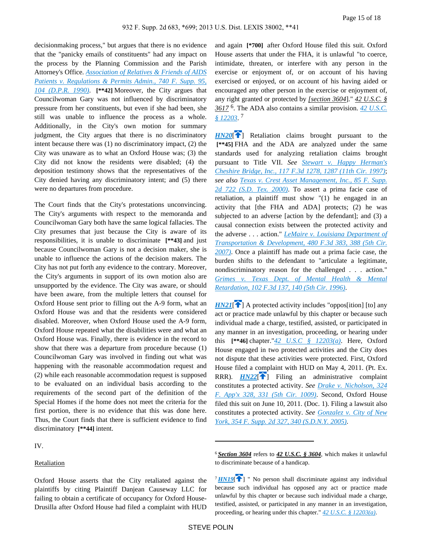decisionmaking process," but argues that there is no evidence that the "panicky emails of constituents" had any impact on the process by the Planning Commission and the Parish Attorney's Office. *[Association of Relatives & Friends of AIDS](https://advance.lexis.com/api/document?collection=cases&id=urn:contentItem:3S4N-8G10-0054-448X-00000-00&context=)  [Patients v. Regulations & Permits Admin., 740 F. Supp. 95,](https://advance.lexis.com/api/document?collection=cases&id=urn:contentItem:3S4N-8G10-0054-448X-00000-00&context=)  [104 \(D.P.R. 1990\)](https://advance.lexis.com/api/document?collection=cases&id=urn:contentItem:3S4N-8G10-0054-448X-00000-00&context=)*. **[\*\*42]** Moreover, the City argues that Councilwoman Gary was not influenced by discriminatory pressure from her constituents, but even if she had been, she still was unable to influence the process as a whole. Additionally, in the City's own motion for summary judgment, the City argues that there is no discriminatory intent because there was (1) no discriminatory impact, (2) the City was unaware as to what an Oxford House was; (3) the City did not know the residents were disabled; (4) the deposition testimony shows that the representatives of the City denied having any discriminatory intent; and (5) there were no departures from procedure.

The Court finds that the City's protestations unconvincing. The City's arguments with respect to the memoranda and Councilwoman Gary both have the same logical fallacies. The City presumes that just because the City is aware of its responsibilities, it is unable to discriminate **[\*\*43]** and just because Councilwoman Gary is not a decision maker, she is unable to influence the actions of the decision makers. The City has not put forth any evidence to the contrary. Moreover, the City's arguments in support of its own motion also are unsupported by the evidence. The City was aware, or should have been aware, from the multiple letters that counsel for Oxford House sent prior to filling out the A-9 form, what an Oxford House was and that the residents were considered disabled. Moreover, when Oxford House used the A-9 form, Oxford House repeated what the disabilities were and what an Oxford House was. Finally, there is evidence in the record to show that there was a departure from procedure because (1) Councilwoman Gary was involved in finding out what was happening with the reasonable accommodation request and (2) while each reasonable accommodation request is supposed to be evaluated on an individual basis according to the requirements of the second part of the definition of the Special Homes if the home does not meet the criteria for the first portion, there is no evidence that this was done here. Thus, the Court finds that there is sufficient evidence to find discriminatory **[\*\*44]** intent.

IV.

#### **Retaliation**

Oxford House asserts that the City retaliated against the plaintiffs by citing Plaintiff Danjean Causeway LLC for failing to obtain a certificate of occupancy for Oxford House-Drusilla after Oxford House had filed a complaint with HUD

and again **[\*700]** after Oxford House filed this suit. Oxford House asserts that under the FHA, it is unlawful "to coerce, intimidate, threaten, or interfere with any person in the exercise or enjoyment of, or on account of his having exercised or enjoyed, or on account of his having aided or encouraged any other person in the exercise or enjoyment of, any right granted or protected by *[section 3604*]." *42 U.S.C. § 3617* <sup>6</sup> . The ADA also contains a similar provision. *[42 U.S.C.](https://advance.lexis.com/api/document?collection=statutes-legislation&id=urn:contentItem:4YF7-GWG1-NRF4-412T-00000-00&context=)  [§ 12203](https://advance.lexis.com/api/document?collection=statutes-legislation&id=urn:contentItem:4YF7-GWG1-NRF4-412T-00000-00&context=)*. 7

<span id="page-14-1"></span>**[HN20](https://advance.lexis.com/api/document?collection=cases&id=urn:contentItem:580P-BFP1-F04D-C24V-00000-00&context=&link=clscc20)<sup>[\[](#page-3-1)1]</sup>** Retaliation claims brought pursuant to the  **[\*\*45]** FHA and the ADA are analyzed under the same standards used for analyzing retaliation claims brought pursuant to Title VII. *See [Stewart v. Happy Herman's](https://advance.lexis.com/api/document?collection=cases&id=urn:contentItem:3S4X-DYH0-00B1-D4YP-00000-00&context=)  [Cheshire Bridge, Inc., 117 F.3d 1278, 1287 \(11th Cir. 1997\)](https://advance.lexis.com/api/document?collection=cases&id=urn:contentItem:3S4X-DYH0-00B1-D4YP-00000-00&context=)*; *see also [Texas v. Crest Asset Management, Inc., 85 F. Supp.](https://advance.lexis.com/api/document?collection=cases&id=urn:contentItem:3YRV-41T0-0038-Y16H-00000-00&context=)  [2d 722 \(S.D. Tex. 2000\)](https://advance.lexis.com/api/document?collection=cases&id=urn:contentItem:3YRV-41T0-0038-Y16H-00000-00&context=)*. To assert a prima facie case of retaliation, a plaintiff must show "(1) he engaged in an activity that [the FHA and ADA] protects; (2) he was subjected to an adverse [action by the defendant]; and (3) a causal connection exists between the protected activity and the adverse . . . action." *[LeMaire v. Louisiana Department of](https://advance.lexis.com/api/document?collection=cases&id=urn:contentItem:4N51-KTM0-0038-X0YG-00000-00&context=)  [Transportation & Development, 480 F.3d 383, 388 \(5th Cir.](https://advance.lexis.com/api/document?collection=cases&id=urn:contentItem:4N51-KTM0-0038-X0YG-00000-00&context=)  [2007\)](https://advance.lexis.com/api/document?collection=cases&id=urn:contentItem:4N51-KTM0-0038-X0YG-00000-00&context=)*. Once a plaintiff has made out a prima facie case, the burden shifts to the defendant to "articulate a legitimate, nondiscriminatory reason for the challenged . . . action." *[Grimes v. Texas Dept. of Mental Health & Mental](https://advance.lexis.com/api/document?collection=cases&id=urn:contentItem:3S4W-YBH0-006F-M18G-00000-00&context=)  [Retardation, 102 F.3d 137, 140 \(5th Cir. 1996\)](https://advance.lexis.com/api/document?collection=cases&id=urn:contentItem:3S4W-YBH0-006F-M18G-00000-00&context=)*.

<span id="page-14-3"></span><span id="page-14-2"></span> $H N21$ <sup>[\[](#page-3-2)2]</sup> A protected activity includes "oppos<sup>[ition]</sup> [to] any act or practice made unlawful by this chapter or because such individual made a charge, testified, assisted, or participated in any manner in an investigation, proceeding, or hearing under this **[\*\*46]** chapter."*[42 U.S.C § 12203\(a\)](https://advance.lexis.com/api/document?collection=statutes-legislation&id=urn:contentItem:4YF7-GWG1-NRF4-412T-00000-00&context=)*. Here, Oxford House engaged in two protected activities and the City does not dispute that these activities were protected. First, Oxford House filed a complaint with HUD on May 4, 2011. (Pt. Ex. RRR).  $H N 22$ <sup>[\[](#page-3-3) $\rightarrow$ </sup>] Filing an administrative complaint constitutes a protected activity. *See [Drake v. Nicholson, 324](https://advance.lexis.com/api/document?collection=cases&id=urn:contentItem:4W4C-BRJ0-TXFX-72R3-00000-00&context=)  [F. App'x 328, 331 \(5th Cir. 1009\)](https://advance.lexis.com/api/document?collection=cases&id=urn:contentItem:4W4C-BRJ0-TXFX-72R3-00000-00&context=)*. Second, Oxford House filed this suit on June 10, 2011. (Doc. 1). Filing a lawsuit also constitutes a protected activity. *See [Gonzalez v. City of New](https://advance.lexis.com/api/document?collection=cases&id=urn:contentItem:4F97-6160-TVW3-P2FY-00000-00&context=)  [York, 354 F. Supp. 2d 327, 340 \(S.D.N.Y. 2005\)](https://advance.lexis.com/api/document?collection=cases&id=urn:contentItem:4F97-6160-TVW3-P2FY-00000-00&context=)*.

<sup>6</sup>*Section 3604* refers to *42 U.S.C. § 3604*, which makes it unlawful to discriminate because of a handicap.

<span id="page-14-0"></span> $7$ *[HN19](https://advance.lexis.com/api/document?collection=cases&id=urn:contentItem:580P-BFP1-F04D-C24V-00000-00&context=&link=clscc19)*<sup> $\uparrow$ </sup>] " No person shall discriminate against any individual because such individual has opposed any act or practice made unlawful by this chapter or because such individual made a charge, testified, assisted, or participated in any manner in an investigation, proceeding, or hearing under this chapter." *[42 U.S.C. § 12203\(a\)](https://advance.lexis.com/api/document?collection=statutes-legislation&id=urn:contentItem:4YF7-GWG1-NRF4-412T-00000-00&context=)*.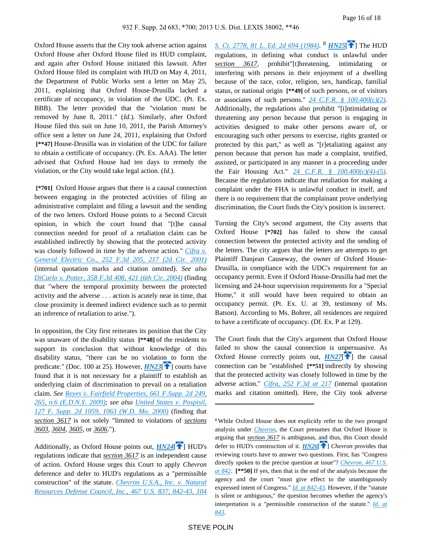Oxford House asserts that the City took adverse action against Oxford House after Oxford House filed its HUD complaint, and again after Oxford House initiated this lawsuit. After Oxford House filed its complaint with HUD on May 4, 2011, the Department of Public Works sent a letter on May 25, 2011, explaining that Oxford House-Drusilla lacked a certificate of occupancy, in violation of the UDC. (Pt. Ex. BBB). The letter provided that the "violation must be removed by June 8, 2011." (*Id.*). Similarly, after Oxford House filed this suit on June 10, 2011, the Parish Attorney's office sent a letter on June 24, 2011, explaining that Oxford  **[\*\*47]** House-Drusilla was in violation of the UDC for failure to obtain a certificate of occupancy. (Pt. Ex. AAA). The letter advised that Oxford House had ten days to remedy the violation, or the City would take legal action. (*Id.*).

 **[\*701]** Oxford House argues that there is a causal connection between engaging in the protected activities of filing an administrative complaint and filing a lawsuit and the sending of the two letters. Oxford House points to a Second Circuit opinion, in which the court found that "[t]he causal connection needed for proof of a retaliation claim can be established indirectly by showing that the protected activity was closely followed in time by the adverse action." *[Cifra v.](https://advance.lexis.com/api/document?collection=cases&id=urn:contentItem:4378-RMT0-0038-X1HD-00000-00&context=)  [General Electric Co., 252 F.3d 205, 217 \(2d Cir. 2001\)](https://advance.lexis.com/api/document?collection=cases&id=urn:contentItem:4378-RMT0-0038-X1HD-00000-00&context=)* (internal quotation marks and citation omitted). *See also [DiCarlo v. Potter, 358 F.3d 408, 421 \(6th Cir. 2004\)](https://advance.lexis.com/api/document?collection=cases&id=urn:contentItem:4BRS-T7H0-0038-X4P8-00000-00&context=)* (finding that "where the temporal proximity between the protected activity and the adverse . . . action is acutely near in time, that close proximity is deemed indirect evidence such as to permit an inference of retaliation to arise.").

In opposition, the City first reiterates its position that the City was unaware of the disability status **[\*\*48]** of the residents to support its conclusion that without knowledge of this disability status, "there can be no violation to form the predicate." (Doc. 100 at 25). However,  $H N 23$ [\[](#page-4-0) $\uparrow$ ] courts have found that it is not necessary for a plaintiff to establish an underlying claim of discrimination to prevail on a retaliation claim. *See [Reyes v. Fairfield Properties, 661 F.Supp. 2d 249,](https://advance.lexis.com/api/document?collection=cases&id=urn:contentItem:4X9N-7WV0-TXFR-J2GW-00000-00&context=)  [265, n.6 \(E.D.N.Y. 2009\)](https://advance.lexis.com/api/document?collection=cases&id=urn:contentItem:4X9N-7WV0-TXFR-J2GW-00000-00&context=)*; *see also [United States v. Pospisil,](https://advance.lexis.com/api/document?collection=cases&id=urn:contentItem:44VP-J8K0-0038-Y19W-00000-00&context=)  [127 F. Supp. 2d 1059, 1063 \(W.D. Mo. 2000\)](https://advance.lexis.com/api/document?collection=cases&id=urn:contentItem:44VP-J8K0-0038-Y19W-00000-00&context=)* (finding that *section 3617* is not solely "limited to violations of *sections 3603*, *3604*, *3605*, or *3606*.").

Additionally, as Oxford House points out, *[HN24](https://advance.lexis.com/api/document?collection=cases&id=urn:contentItem:580P-BFP1-F04D-C24V-00000-00&context=&link=clscc24)*<sup>[1[\]](#page-4-1)</sup> HUD's regulations indicate that *section 3617* is an independent cause of action. Oxford House urges this Court to apply *Chevron* deference and defer to HUD's regulations as a "permissible construction" of the statute. *[Chevron U.S.A., Inc. v. Natural](https://advance.lexis.com/api/document?collection=cases&id=urn:contentItem:3S4X-3BF0-003B-S30X-00000-00&context=)  [Resources Defense Council, Inc., 467 U.S. 837, 842-43, 104](https://advance.lexis.com/api/document?collection=cases&id=urn:contentItem:3S4X-3BF0-003B-S30X-00000-00&context=)*  <span id="page-15-2"></span>*[S. Ct. 2778, 81 L. Ed. 2d 694 \(1984\)](https://advance.lexis.com/api/document?collection=cases&id=urn:contentItem:3S4X-3BF0-003B-S30X-00000-00&context=)*. <sup>8</sup> *[HN25](https://advance.lexis.com/api/document?collection=cases&id=urn:contentItem:580P-BFP1-F04D-C24V-00000-00&context=&link=clscc25)*<sup>[\[](#page-4-2)4]</sup> The HUD regulations, in defining what conduct is unlawful under *section 3617*, prohibit"[t]hreatening, intimidating or interfering with persons in their enjoyment of a dwelling because of the race, color, religion, sex, handicap, familial status, or national origin **[\*\*49]** of such persons, or of visitors or associates of such persons." *[24 C.F.R. § 100.400\(c\)\(2\)](https://advance.lexis.com/api/document?collection=administrative-codes&id=urn:contentItem:5MD7-1KX0-008G-Y3MN-00000-00&context=)*. Additionally, the regulations also prohibit "[i]ntimidating or threatening any person because that person is engaging in activities designed to make other persons aware of, or encouraging such other persons to exercise, rights granted or protected by this part," as well as "[r]etaliating against any person because that person has made a complaint, testified, assisted, or participated in any manner in a proceeding under the Fair Housing Act." *[24 C.F.R. § 100.400\(c\)\(4\)-\(5\)](https://advance.lexis.com/api/document?collection=administrative-codes&id=urn:contentItem:5MD7-1KX0-008G-Y3MN-00000-00&context=)*. Because the regulations indicate that retaliation for making a complaint under the FHA is unlawful conduct in itself, and there is no requirement that the complainant prove underlying discrimination, the Court finds the City's position is incorrect.

Turning the City's second argument, the City asserts that Oxford House **[\*702]** has failed to show the causal connection between the protected activity and the sending of the letters. The city argues that the letters are attempts to get Plaintiff Danjean Causeway, the owner of Oxford House-Drusilla, in compliance with the UDC's requirement for an occupancy permit. Even if Oxford House-Drusilla had met the licensing and 24-hour supervision requirements for a "Special Home," it still would have been required to obtain an occupancy permit. (Pt. Ex. U. at 39, testimony of Ms. Batson). According to Ms. Bohrer, all residences are required to have a certificate of occupancy. (Df. Ex. P at 129).

<span id="page-15-4"></span><span id="page-15-0"></span>The Court finds that the City's argument that Oxford House failed to show the causal connection is unpersuasive. As Oxford House correctly points out,  $H N27$  [\[](#page-4-3) $\uparrow$ ] the causal connection can be "established **[\*\*51]** indirectly by showing that the protected activity was closely followed in time by the adverse action." *[Cifra, 252 F.3d at 217](https://advance.lexis.com/api/document?collection=cases&id=urn:contentItem:4378-RMT0-0038-X1HD-00000-00&context=)* (internal quotation marks and citation omitted). Here, the City took adverse

<span id="page-15-3"></span><span id="page-15-1"></span><sup>8</sup>While Oxford House does not explicitly refer to the two pronged analysis under *[Chevron](https://advance.lexis.com/api/document?collection=cases&id=urn:contentItem:3S4X-3BF0-003B-S30X-00000-00&context=)*, the Court presumes that Oxford House is arguing that *section 3617* is ambiguous, and thus, this Court should defer to HUD's construction of it. *[HN26](https://advance.lexis.com/api/document?collection=cases&id=urn:contentItem:580P-BFP1-F04D-C24V-00000-00&context=&link=clscc26)*<sup>[\[](#page-4-4)1]</sup> *Chevron* provides that reviewing courts have to answer two questions. First, has "Congress directly spoken to the precise question at issue"? *[Chevron, 467 U.S.](https://advance.lexis.com/api/document?collection=cases&id=urn:contentItem:3S4X-3BF0-003B-S30X-00000-00&context=)  [at 842](https://advance.lexis.com/api/document?collection=cases&id=urn:contentItem:3S4X-3BF0-003B-S30X-00000-00&context=)*. **[\*\*50]** If yes, then that is the end of the analysis because the agency and the court "must give effect to the unambiguously expressed intent of Congress." *[Id. at 842-43](https://advance.lexis.com/api/document?collection=cases&id=urn:contentItem:3S4X-3BF0-003B-S30X-00000-00&context=)*. However, if the "statute is silent or ambiguous," the question becomes whether the agency's interpretation is a "permissible construction of the statute." *[Id. at](https://advance.lexis.com/api/document?collection=cases&id=urn:contentItem:3S4X-3BF0-003B-S30X-00000-00&context=)  [843](https://advance.lexis.com/api/document?collection=cases&id=urn:contentItem:3S4X-3BF0-003B-S30X-00000-00&context=)*.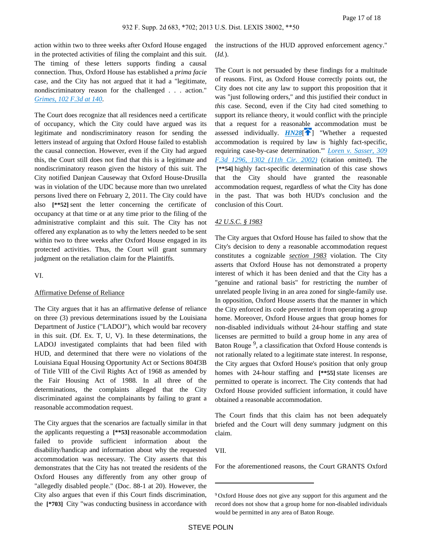action within two to three weeks after Oxford House engaged in the protected activities of filing the complaint and this suit. The timing of these letters supports finding a causal connection. Thus, Oxford House has established a *prima facie* case, and the City has not argued that it had a "legitimate, nondiscriminatory reason for the challenged . . . action." *[Grimes, 102 F.3d at 140](https://advance.lexis.com/api/document?collection=cases&id=urn:contentItem:3S4W-YBH0-006F-M18G-00000-00&context=)*.

The Court does recognize that all residences need a certificate of occupancy, which the City could have argued was its legitimate and nondiscriminatory reason for sending the letters instead of arguing that Oxford House failed to establish the causal connection. However, even if the City had argued this, the Court still does not find that this is a legitimate and nondiscriminatory reason given the history of this suit. The City notified Danjean Causeway that Oxford House-Drusilla was in violation of the UDC because more than two unrelated persons lived there on February 2, 2011. The City could have also **[\*\*52]** sent the letter concerning the certificate of occupancy at that time or at any time prior to the filing of the administrative complaint and this suit. The City has not offered any explanation as to why the letters needed to be sent within two to three weeks after Oxford House engaged in its protected activities. Thus, the Court will grant summary judgment on the retaliation claim for the Plaintiffs.

VI.

#### Affirmative Defense of Reliance

The City argues that it has an affirmative defense of reliance on three (3) previous determinations issued by the Louisiana Department of Justice ("LADOJ"), which would bar recovery in this suit. (Df. Ex. T, U, V). In these determinations, the LADOJ investigated complaints that had been filed with HUD, and determined that there were no violations of the Louisiana Equal Housing Opportunity Act or Sections 804f3B of Title VIII of the Civil Rights Act of 1968 as amended by the Fair Housing Act of 1988. In all three of the determinations, the complaints alleged that the City discriminated against the complainants by failing to grant a reasonable accommodation request.

The City argues that the scenarios are factually similar in that the applicants requesting a **[\*\*53]** reasonable accommodation failed to provide sufficient information about the disability/handicap and information about why the requested accommodation was necessary. The City asserts that this demonstrates that the City has not treated the residents of the Oxford Houses any differently from any other group of "allegedly disabled people." (Doc. 88-1 at 20). However, the City also argues that even if this Court finds discrimination, the **[\*703]** City "was conducting business in accordance with

the instructions of the HUD approved enforcement agency." (*Id.*).

<span id="page-16-0"></span>The Court is not persuaded by these findings for a multitude of reasons. First, as Oxford House correctly points out, the City does not cite any law to support this proposition that it was "just following orders," and this justified their conduct in *this* case. Second, even if the City had cited something to support its reliance theory, it would conflict with the principle that a request for a reasonable accommodation must be assessed individually.  $H N 28$ <sup>[ $\uparrow$ </sup>] "Whether a requested accommodation is required by law is 'highly fact-specific, requiring case-by-case determination.'" *[Loren v. Sasser, 309](https://advance.lexis.com/api/document?collection=cases&id=urn:contentItem:4719-2H30-0038-X2B0-00000-00&context=)  [F.3d 1296, 1302 \(11th Cir. 2002\)](https://advance.lexis.com/api/document?collection=cases&id=urn:contentItem:4719-2H30-0038-X2B0-00000-00&context=)* (citation omitted). The  **[\*\*54]** highly fact-specific determination of this case shows that the City should have granted the reasonable accommodation request, regardless of what the City has done in the past. That was both HUD's conclusion and the conclusion of this Court.

#### *42 U.S.C. § 1983*

The City argues that Oxford House has failed to show that the City's decision to deny a reasonable accommodation request constitutes a cognizable *section 1983* violation. The City asserts that Oxford House has not demonstrated a property interest of which it has been denied and that the City has a "genuine and rational basis" for restricting the number of unrelated people living in an area zoned for single-family use. In opposition, Oxford House asserts that the manner in which the City enforced its code prevented it from operating a group home. Moreover, Oxford House argues that group homes for non-disabled individuals without 24-hour staffing and state licenses are permitted to build a group home in any area of Baton Rouge<sup>9</sup>, a classification that Oxford House contends is not rationally related to a legitimate state interest. In response, the City argues that Oxford House's position that only group homes with 24-hour staffing and **[\*\*55]** state licenses are permitted to operate is incorrect. The City contends that had Oxford House provided sufficient information, it could have obtained a reasonable accommodation.

The Court finds that this claim has not been adequately briefed and the Court will deny summary judgment on this claim.

VII.

For the aforementioned reasons, the Court GRANTS Oxford

<sup>9</sup>Oxford House does not give any support for this argument and the record does not show that a group home for non-disabled individuals would be permitted in any area of Baton Rouge.